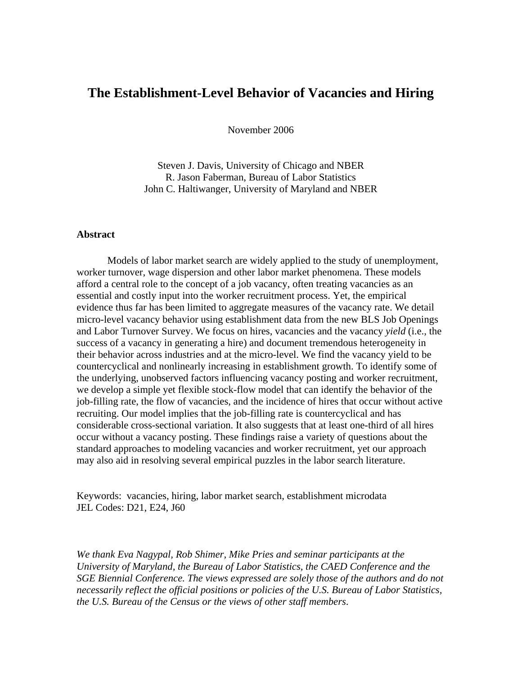# **The Establishment-Level Behavior of Vacancies and Hiring**

November 2006

Steven J. Davis, University of Chicago and NBER R. Jason Faberman, Bureau of Labor Statistics John C. Haltiwanger, University of Maryland and NBER

### **Abstract**

 Models of labor market search are widely applied to the study of unemployment, worker turnover, wage dispersion and other labor market phenomena. These models afford a central role to the concept of a job vacancy, often treating vacancies as an essential and costly input into the worker recruitment process. Yet, the empirical evidence thus far has been limited to aggregate measures of the vacancy rate. We detail micro-level vacancy behavior using establishment data from the new BLS Job Openings and Labor Turnover Survey. We focus on hires, vacancies and the vacancy *yield* (i.e., the success of a vacancy in generating a hire) and document tremendous heterogeneity in their behavior across industries and at the micro-level. We find the vacancy yield to be countercyclical and nonlinearly increasing in establishment growth. To identify some of the underlying, unobserved factors influencing vacancy posting and worker recruitment, we develop a simple yet flexible stock-flow model that can identify the behavior of the job-filling rate, the flow of vacancies, and the incidence of hires that occur without active recruiting. Our model implies that the job-filling rate is countercyclical and has considerable cross-sectional variation. It also suggests that at least one-third of all hires occur without a vacancy posting. These findings raise a variety of questions about the standard approaches to modeling vacancies and worker recruitment, yet our approach may also aid in resolving several empirical puzzles in the labor search literature.

Keywords: vacancies, hiring, labor market search, establishment microdata JEL Codes: D21, E24, J60

*We thank Eva Nagypal, Rob Shimer, Mike Pries and seminar participants at the University of Maryland, the Bureau of Labor Statistics, the CAED Conference and the SGE Biennial Conference. The views expressed are solely those of the authors and do not necessarily reflect the official positions or policies of the U.S. Bureau of Labor Statistics, the U.S. Bureau of the Census or the views of other staff members*.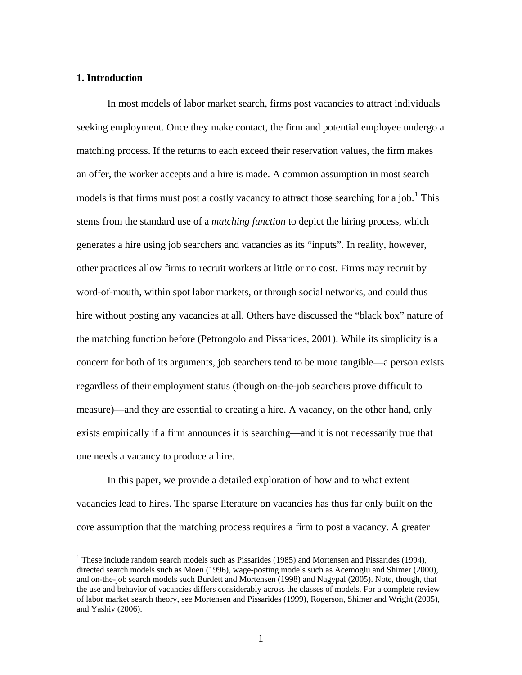### **1. Introduction**

 $\overline{a}$ 

In most models of labor market search, firms post vacancies to attract individuals seeking employment. Once they make contact, the firm and potential employee undergo a matching process. If the returns to each exceed their reservation values, the firm makes an offer, the worker accepts and a hire is made. A common assumption in most search models is that firms must post a costly vacancy to attract those searching for a job.<sup>[1](#page-1-0)</sup> This stems from the standard use of a *matching function* to depict the hiring process, which generates a hire using job searchers and vacancies as its "inputs". In reality, however, other practices allow firms to recruit workers at little or no cost. Firms may recruit by word-of-mouth, within spot labor markets, or through social networks, and could thus hire without posting any vacancies at all. Others have discussed the "black box" nature of the matching function before (Petrongolo and Pissarides, 2001). While its simplicity is a concern for both of its arguments, job searchers tend to be more tangible—a person exists regardless of their employment status (though on-the-job searchers prove difficult to measure)—and they are essential to creating a hire. A vacancy, on the other hand, only exists empirically if a firm announces it is searching—and it is not necessarily true that one needs a vacancy to produce a hire.

In this paper, we provide a detailed exploration of how and to what extent vacancies lead to hires. The sparse literature on vacancies has thus far only built on the core assumption that the matching process requires a firm to post a vacancy. A greater

<span id="page-1-0"></span><sup>&</sup>lt;sup>1</sup> These include random search models such as Pissarides (1985) and Mortensen and Pissarides (1994), directed search models such as Moen (1996), wage-posting models such as Acemoglu and Shimer (2000), and on-the-job search models such Burdett and Mortensen (1998) and Nagypal (2005). Note, though, that the use and behavior of vacancies differs considerably across the classes of models. For a complete review of labor market search theory, see Mortensen and Pissarides (1999), Rogerson, Shimer and Wright (2005), and Yashiv (2006).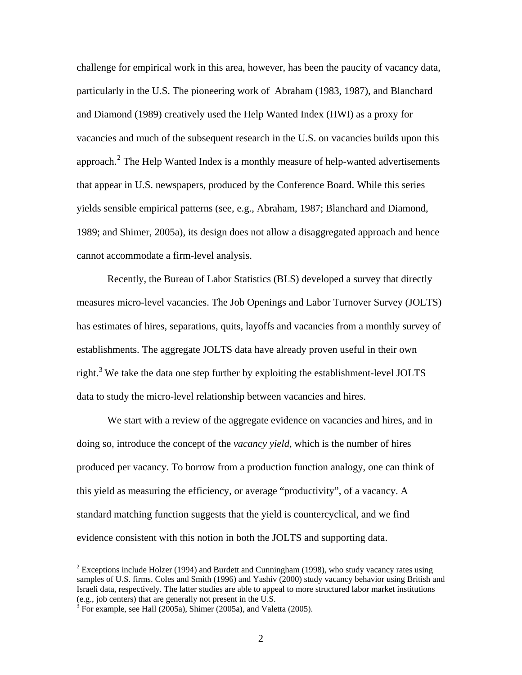challenge for empirical work in this area, however, has been the paucity of vacancy data, particularly in the U.S. The pioneering work of Abraham (1983, 1987), and Blanchard and Diamond (1989) creatively used the Help Wanted Index (HWI) as a proxy for vacancies and much of the subsequent research in the U.S. on vacancies builds upon this approach. $<sup>2</sup>$  $<sup>2</sup>$  $<sup>2</sup>$  The Help Wanted Index is a monthly measure of help-wanted advertisements</sup> that appear in U.S. newspapers, produced by the Conference Board. While this series yields sensible empirical patterns (see, e.g., Abraham, 1987; Blanchard and Diamond, 1989; and Shimer, 2005a), its design does not allow a disaggregated approach and hence cannot accommodate a firm-level analysis.

 Recently, the Bureau of Labor Statistics (BLS) developed a survey that directly measures micro-level vacancies. The Job Openings and Labor Turnover Survey (JOLTS) has estimates of hires, separations, quits, layoffs and vacancies from a monthly survey of establishments. The aggregate JOLTS data have already proven useful in their own right.<sup>[3](#page-2-1)</sup> We take the data one step further by exploiting the establishment-level JOLTS data to study the micro-level relationship between vacancies and hires.

We start with a review of the aggregate evidence on vacancies and hires, and in doing so, introduce the concept of the *vacancy yield*, which is the number of hires produced per vacancy. To borrow from a production function analogy, one can think of this yield as measuring the efficiency, or average "productivity", of a vacancy. A standard matching function suggests that the yield is countercyclical, and we find evidence consistent with this notion in both the JOLTS and supporting data.

 $\overline{a}$ 

<span id="page-2-0"></span><sup>&</sup>lt;sup>2</sup> Exceptions include Holzer (1994) and Burdett and Cunningham (1998), who study vacancy rates using samples of U.S. firms. Coles and Smith (1996) and Yashiv (2000) study vacancy behavior using British and Israeli data, respectively. The latter studies are able to appeal to more structured labor market institutions (e.g., job centers) that are generally not present in the  $\overline{U.S.}$ 

<span id="page-2-1"></span> $3$  For example, see Hall (2005a), Shimer (2005a), and Valetta (2005).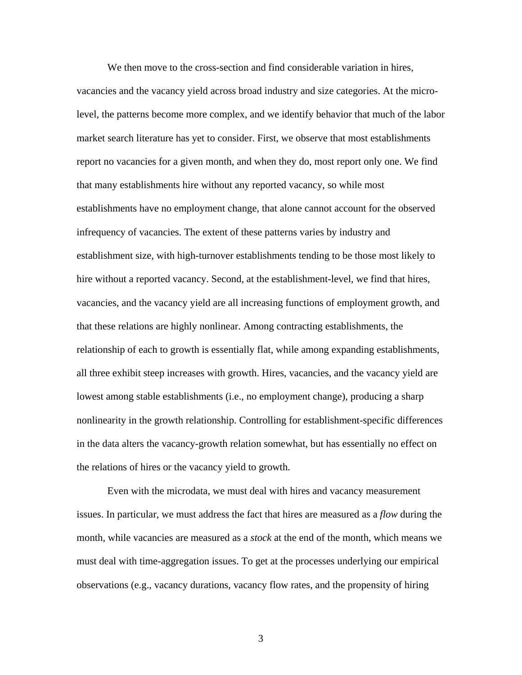We then move to the cross-section and find considerable variation in hires, vacancies and the vacancy yield across broad industry and size categories. At the microlevel, the patterns become more complex, and we identify behavior that much of the labor market search literature has yet to consider. First, we observe that most establishments report no vacancies for a given month, and when they do, most report only one. We find that many establishments hire without any reported vacancy, so while most establishments have no employment change, that alone cannot account for the observed infrequency of vacancies. The extent of these patterns varies by industry and establishment size, with high-turnover establishments tending to be those most likely to hire without a reported vacancy. Second, at the establishment-level, we find that hires, vacancies, and the vacancy yield are all increasing functions of employment growth, and that these relations are highly nonlinear. Among contracting establishments, the relationship of each to growth is essentially flat, while among expanding establishments, all three exhibit steep increases with growth. Hires, vacancies, and the vacancy yield are lowest among stable establishments (i.e., no employment change), producing a sharp nonlinearity in the growth relationship. Controlling for establishment-specific differences in the data alters the vacancy-growth relation somewhat, but has essentially no effect on the relations of hires or the vacancy yield to growth.

Even with the microdata, we must deal with hires and vacancy measurement issues. In particular, we must address the fact that hires are measured as a *flow* during the month, while vacancies are measured as a *stock* at the end of the month, which means we must deal with time-aggregation issues. To get at the processes underlying our empirical observations (e.g., vacancy durations, vacancy flow rates, and the propensity of hiring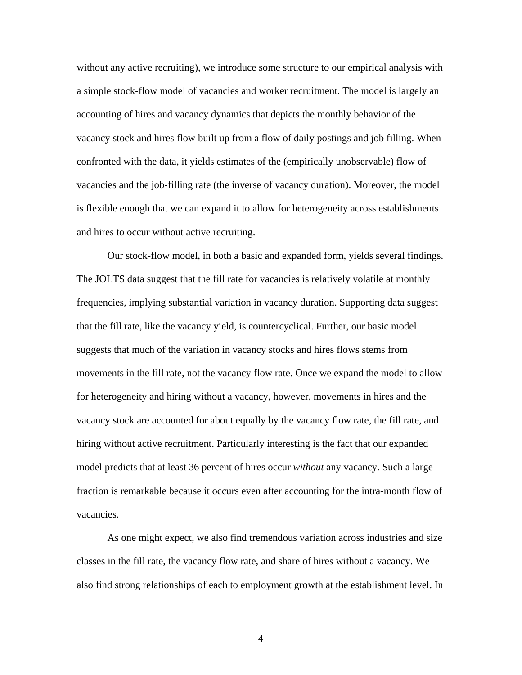without any active recruiting), we introduce some structure to our empirical analysis with a simple stock-flow model of vacancies and worker recruitment. The model is largely an accounting of hires and vacancy dynamics that depicts the monthly behavior of the vacancy stock and hires flow built up from a flow of daily postings and job filling. When confronted with the data, it yields estimates of the (empirically unobservable) flow of vacancies and the job-filling rate (the inverse of vacancy duration). Moreover, the model is flexible enough that we can expand it to allow for heterogeneity across establishments and hires to occur without active recruiting.

 Our stock-flow model, in both a basic and expanded form, yields several findings. The JOLTS data suggest that the fill rate for vacancies is relatively volatile at monthly frequencies, implying substantial variation in vacancy duration. Supporting data suggest that the fill rate, like the vacancy yield, is countercyclical. Further, our basic model suggests that much of the variation in vacancy stocks and hires flows stems from movements in the fill rate, not the vacancy flow rate. Once we expand the model to allow for heterogeneity and hiring without a vacancy, however, movements in hires and the vacancy stock are accounted for about equally by the vacancy flow rate, the fill rate, and hiring without active recruitment. Particularly interesting is the fact that our expanded model predicts that at least 36 percent of hires occur *without* any vacancy. Such a large fraction is remarkable because it occurs even after accounting for the intra-month flow of vacancies.

 As one might expect, we also find tremendous variation across industries and size classes in the fill rate, the vacancy flow rate, and share of hires without a vacancy. We also find strong relationships of each to employment growth at the establishment level. In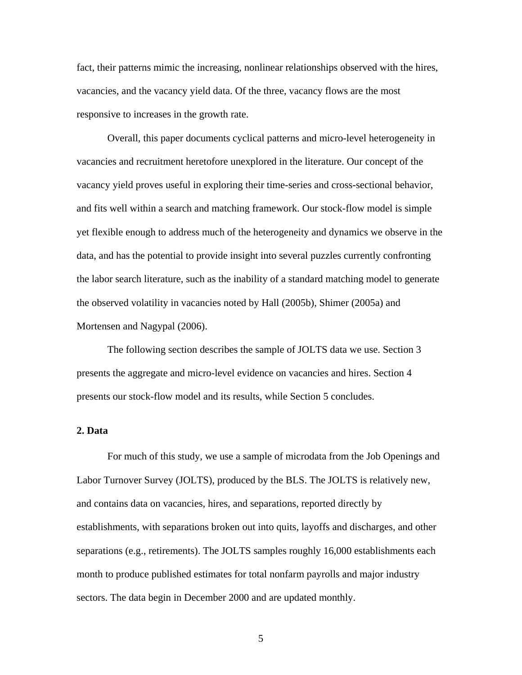fact, their patterns mimic the increasing, nonlinear relationships observed with the hires, vacancies, and the vacancy yield data. Of the three, vacancy flows are the most responsive to increases in the growth rate.

 Overall, this paper documents cyclical patterns and micro-level heterogeneity in vacancies and recruitment heretofore unexplored in the literature. Our concept of the vacancy yield proves useful in exploring their time-series and cross-sectional behavior, and fits well within a search and matching framework. Our stock-flow model is simple yet flexible enough to address much of the heterogeneity and dynamics we observe in the data, and has the potential to provide insight into several puzzles currently confronting the labor search literature, such as the inability of a standard matching model to generate the observed volatility in vacancies noted by Hall (2005b), Shimer (2005a) and Mortensen and Nagypal (2006).

The following section describes the sample of JOLTS data we use. Section 3 presents the aggregate and micro-level evidence on vacancies and hires. Section 4 presents our stock-flow model and its results, while Section 5 concludes.

### **2. Data**

For much of this study, we use a sample of microdata from the Job Openings and Labor Turnover Survey (JOLTS), produced by the BLS. The JOLTS is relatively new, and contains data on vacancies, hires, and separations, reported directly by establishments, with separations broken out into quits, layoffs and discharges, and other separations (e.g., retirements). The JOLTS samples roughly 16,000 establishments each month to produce published estimates for total nonfarm payrolls and major industry sectors. The data begin in December 2000 and are updated monthly.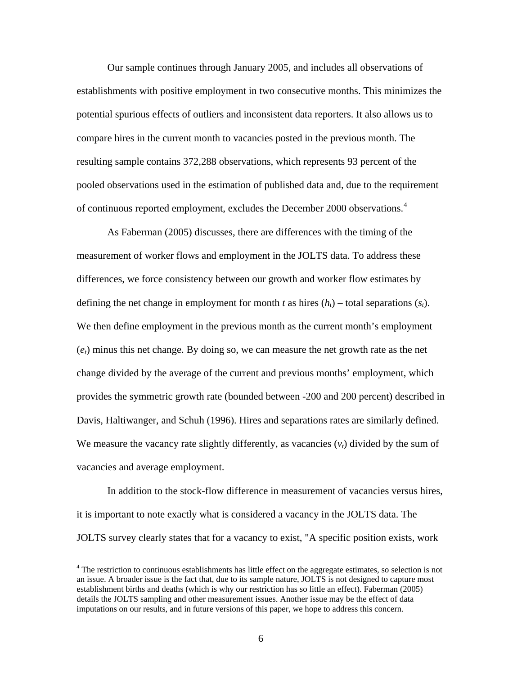<span id="page-6-0"></span>Our sample continues through January 2005, and includes all observations of establishments with positive employment in two consecutive months. This minimizes the potential spurious effects of outliers and inconsistent data reporters. It also allows us to compare hires in the current month to vacancies posted in the previous month. The resulting sample contains 372,288 observations, which represents 93 percent of the pooled observations used in the estimation of published data and, due to the requirement of continuous reported employment, excludes the December 2000 observations.<sup>[4](#page-6-0)</sup>

As Faberman (2005) discusses, there are differences with the timing of the measurement of worker flows and employment in the JOLTS data. To address these differences, we force consistency between our growth and worker flow estimates by defining the net change in employment for month *t* as hires  $(h_t)$  – total separations  $(s_t)$ . We then define employment in the previous month as the current month's employment  $(e_t)$  minus this net change. By doing so, we can measure the net growth rate as the net change divided by the average of the current and previous months' employment, which provides the symmetric growth rate (bounded between -200 and 200 percent) described in Davis, Haltiwanger, and Schuh (1996). Hires and separations rates are similarly defined. We measure the vacancy rate slightly differently, as vacancies  $(v_t)$  divided by the sum of vacancies and average employment.

In addition to the stock-flow difference in measurement of vacancies versus hires, it is important to note exactly what is considered a vacancy in the JOLTS data. The JOLTS survey clearly states that for a vacancy to exist, "A specific position exists, work

 $\overline{a}$ 

<sup>&</sup>lt;sup>4</sup> The restriction to continuous establishments has little effect on the aggregate estimates, so selection is not an issue. A broader issue is the fact that, due to its sample nature, JOLTS is not designed to capture most establishment births and deaths (which is why our restriction has so little an effect). Faberman (2005) details the JOLTS sampling and other measurement issues. Another issue may be the effect of data imputations on our results, and in future versions of this paper, we hope to address this concern.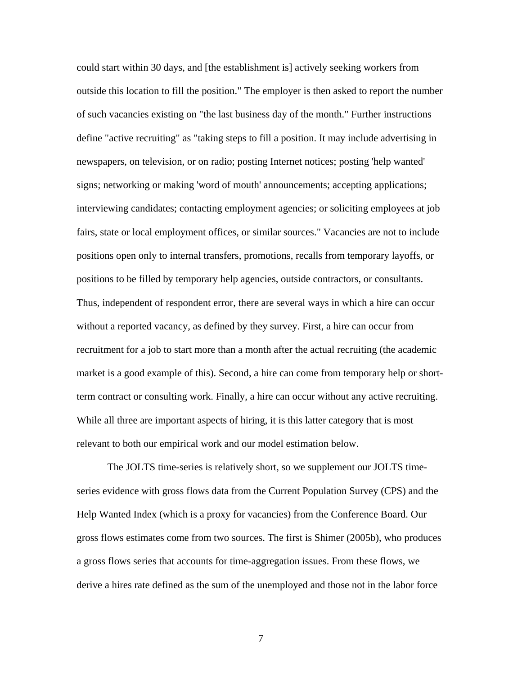could start within 30 days, and [the establishment is] actively seeking workers from outside this location to fill the position." The employer is then asked to report the number of such vacancies existing on "the last business day of the month." Further instructions define "active recruiting" as "taking steps to fill a position. It may include advertising in newspapers, on television, or on radio; posting Internet notices; posting 'help wanted' signs; networking or making 'word of mouth' announcements; accepting applications; interviewing candidates; contacting employment agencies; or soliciting employees at job fairs, state or local employment offices, or similar sources." Vacancies are not to include positions open only to internal transfers, promotions, recalls from temporary layoffs, or positions to be filled by temporary help agencies, outside contractors, or consultants. Thus, independent of respondent error, there are several ways in which a hire can occur without a reported vacancy, as defined by they survey. First, a hire can occur from recruitment for a job to start more than a month after the actual recruiting (the academic market is a good example of this). Second, a hire can come from temporary help or shortterm contract or consulting work. Finally, a hire can occur without any active recruiting. While all three are important aspects of hiring, it is this latter category that is most relevant to both our empirical work and our model estimation below.

 The JOLTS time-series is relatively short, so we supplement our JOLTS timeseries evidence with gross flows data from the Current Population Survey (CPS) and the Help Wanted Index (which is a proxy for vacancies) from the Conference Board. Our gross flows estimates come from two sources. The first is Shimer (2005b), who produces a gross flows series that accounts for time-aggregation issues. From these flows, we derive a hires rate defined as the sum of the unemployed and those not in the labor force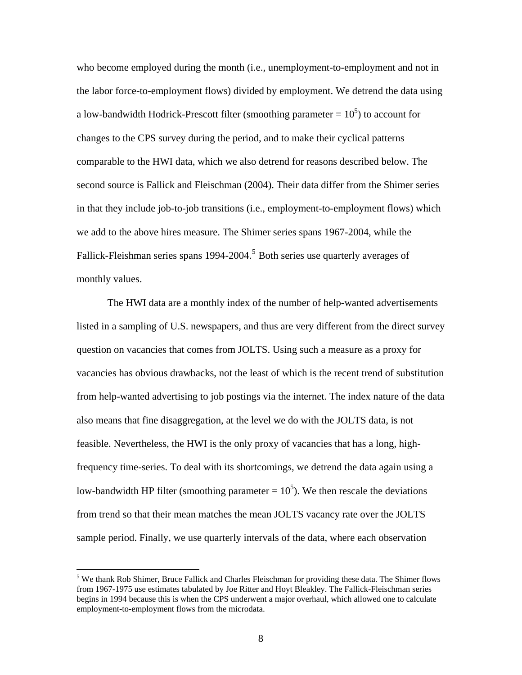<span id="page-8-0"></span>who become employed during the month (i.e., unemployment-to-employment and not in the labor force-to-employment flows) divided by employment. We detrend the data using a low-bandwidth Hodrick-Prescott filter (smoothing parameter  $= 10<sup>5</sup>$ ) to account for changes to the CPS survey during the period, and to make their cyclical patterns comparable to the HWI data, which we also detrend for reasons described below. The second source is Fallick and Fleischman (2004). Their data differ from the Shimer series in that they include job-to-job transitions (i.e., employment-to-employment flows) which we add to the above hires measure. The Shimer series spans 1967-2004, while the Fallick-Fleishman series spans 1994-2004.<sup>[5](#page-8-0)</sup> Both series use quarterly averages of monthly values.

 The HWI data are a monthly index of the number of help-wanted advertisements listed in a sampling of U.S. newspapers, and thus are very different from the direct survey question on vacancies that comes from JOLTS. Using such a measure as a proxy for vacancies has obvious drawbacks, not the least of which is the recent trend of substitution from help-wanted advertising to job postings via the internet. The index nature of the data also means that fine disaggregation, at the level we do with the JOLTS data, is not feasible. Nevertheless, the HWI is the only proxy of vacancies that has a long, highfrequency time-series. To deal with its shortcomings, we detrend the data again using a low-bandwidth HP filter (smoothing parameter  $= 10<sup>5</sup>$ ). We then rescale the deviations from trend so that their mean matches the mean JOLTS vacancy rate over the JOLTS sample period. Finally, we use quarterly intervals of the data, where each observation

 $\overline{a}$ 

<sup>&</sup>lt;sup>5</sup> We thank Rob Shimer, Bruce Fallick and Charles Fleischman for providing these data. The Shimer flows from 1967-1975 use estimates tabulated by Joe Ritter and Hoyt Bleakley. The Fallick-Fleischman series begins in 1994 because this is when the CPS underwent a major overhaul, which allowed one to calculate employment-to-employment flows from the microdata.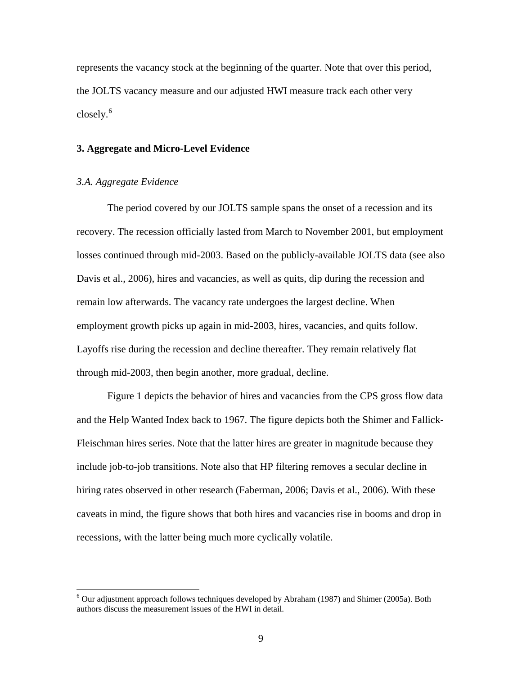<span id="page-9-0"></span>represents the vacancy stock at the beginning of the quarter. Note that over this period, the JOLTS vacancy measure and our adjusted HWI measure track each other very closely.<sup>[6](#page-9-0)</sup>

### **3. Aggregate and Micro-Level Evidence**

### *3.A. Aggregate Evidence*

 The period covered by our JOLTS sample spans the onset of a recession and its recovery. The recession officially lasted from March to November 2001, but employment losses continued through mid-2003. Based on the publicly-available JOLTS data (see also Davis et al., 2006), hires and vacancies, as well as quits, dip during the recession and remain low afterwards. The vacancy rate undergoes the largest decline. When employment growth picks up again in mid-2003, hires, vacancies, and quits follow. Layoffs rise during the recession and decline thereafter. They remain relatively flat through mid-2003, then begin another, more gradual, decline.

 Figure 1 depicts the behavior of hires and vacancies from the CPS gross flow data and the Help Wanted Index back to 1967. The figure depicts both the Shimer and Fallick-Fleischman hires series. Note that the latter hires are greater in magnitude because they include job-to-job transitions. Note also that HP filtering removes a secular decline in hiring rates observed in other research (Faberman, 2006; Davis et al., 2006). With these caveats in mind, the figure shows that both hires and vacancies rise in booms and drop in recessions, with the latter being much more cyclically volatile.

 6 Our adjustment approach follows techniques developed by Abraham (1987) and Shimer (2005a). Both authors discuss the measurement issues of the HWI in detail.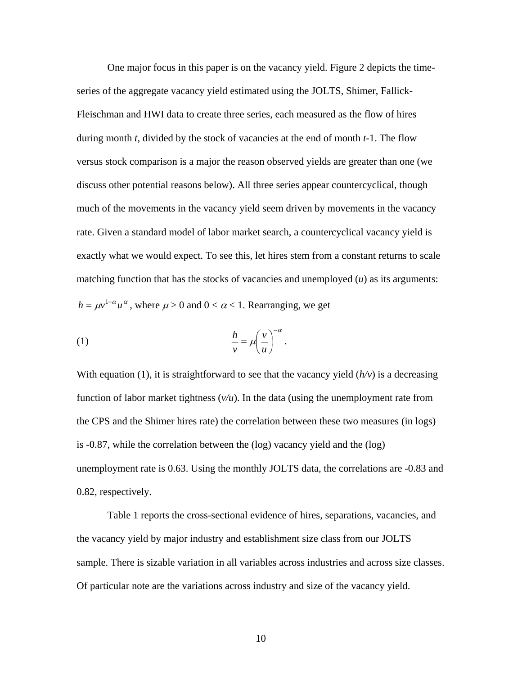One major focus in this paper is on the vacancy yield. Figure 2 depicts the timeseries of the aggregate vacancy yield estimated using the JOLTS, Shimer, Fallick-Fleischman and HWI data to create three series, each measured as the flow of hires during month *t*, divided by the stock of vacancies at the end of month *t*-1. The flow versus stock comparison is a major the reason observed yields are greater than one (we discuss other potential reasons below). All three series appear countercyclical, though much of the movements in the vacancy yield seem driven by movements in the vacancy rate. Given a standard model of labor market search, a countercyclical vacancy yield is exactly what we would expect. To see this, let hires stem from a constant returns to scale matching function that has the stocks of vacancies and unemployed (*u*) as its arguments:  $h = \mu v^{1-\alpha} u^{\alpha}$ , where  $\mu > 0$  and  $0 < \alpha < 1$ . Rearranging, we get

(1) 
$$
\frac{h}{v} = \mu \left(\frac{v}{u}\right)^{-\alpha}.
$$

With equation (1), it is straightforward to see that the vacancy yield  $(h/v)$  is a decreasing function of labor market tightness  $(v/u)$ . In the data (using the unemployment rate from the CPS and the Shimer hires rate) the correlation between these two measures (in logs) is -0.87, while the correlation between the (log) vacancy yield and the (log) unemployment rate is 0.63. Using the monthly JOLTS data, the correlations are -0.83 and 0.82, respectively.

Table 1 reports the cross-sectional evidence of hires, separations, vacancies, and the vacancy yield by major industry and establishment size class from our JOLTS sample. There is sizable variation in all variables across industries and across size classes. Of particular note are the variations across industry and size of the vacancy yield.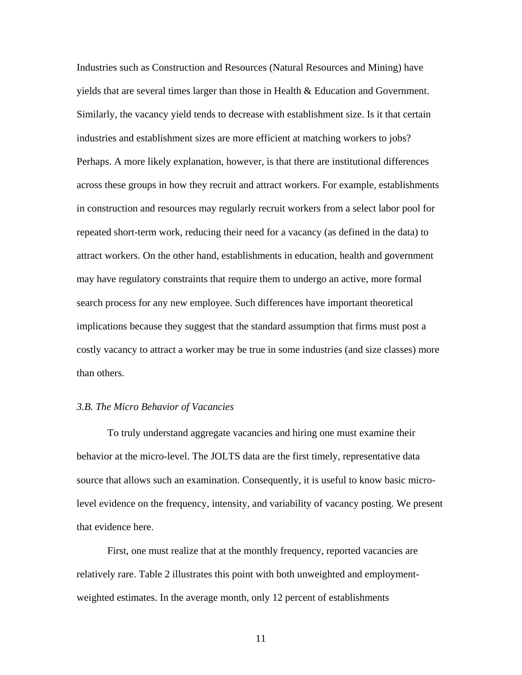Industries such as Construction and Resources (Natural Resources and Mining) have yields that are several times larger than those in Health & Education and Government. Similarly, the vacancy yield tends to decrease with establishment size. Is it that certain industries and establishment sizes are more efficient at matching workers to jobs? Perhaps. A more likely explanation, however, is that there are institutional differences across these groups in how they recruit and attract workers. For example, establishments in construction and resources may regularly recruit workers from a select labor pool for repeated short-term work, reducing their need for a vacancy (as defined in the data) to attract workers. On the other hand, establishments in education, health and government may have regulatory constraints that require them to undergo an active, more formal search process for any new employee. Such differences have important theoretical implications because they suggest that the standard assumption that firms must post a costly vacancy to attract a worker may be true in some industries (and size classes) more than others.

### *3.B. The Micro Behavior of Vacancies*

 To truly understand aggregate vacancies and hiring one must examine their behavior at the micro-level. The JOLTS data are the first timely, representative data source that allows such an examination. Consequently, it is useful to know basic microlevel evidence on the frequency, intensity, and variability of vacancy posting. We present that evidence here.

 First, one must realize that at the monthly frequency, reported vacancies are relatively rare. Table 2 illustrates this point with both unweighted and employmentweighted estimates. In the average month, only 12 percent of establishments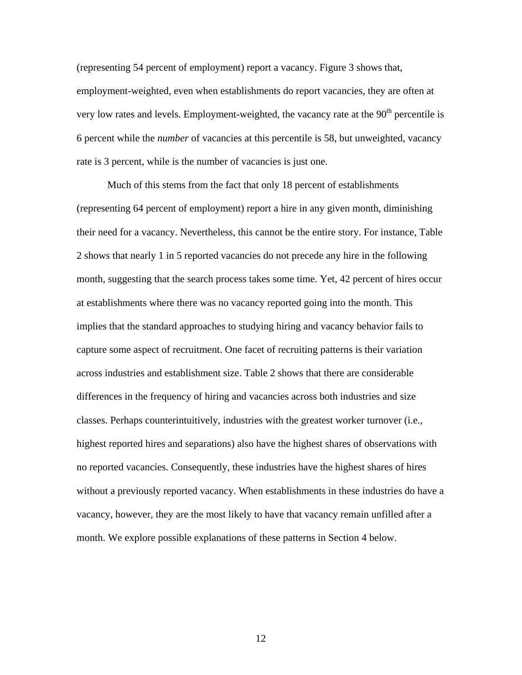(representing 54 percent of employment) report a vacancy. Figure 3 shows that, employment-weighted, even when establishments do report vacancies, they are often at very low rates and levels. Employment-weighted, the vacancy rate at the  $90<sup>th</sup>$  percentile is 6 percent while the *number* of vacancies at this percentile is 58, but unweighted, vacancy rate is 3 percent, while is the number of vacancies is just one.

 Much of this stems from the fact that only 18 percent of establishments (representing 64 percent of employment) report a hire in any given month, diminishing their need for a vacancy. Nevertheless, this cannot be the entire story. For instance, Table 2 shows that nearly 1 in 5 reported vacancies do not precede any hire in the following month, suggesting that the search process takes some time. Yet, 42 percent of hires occur at establishments where there was no vacancy reported going into the month. This implies that the standard approaches to studying hiring and vacancy behavior fails to capture some aspect of recruitment. One facet of recruiting patterns is their variation across industries and establishment size. Table 2 shows that there are considerable differences in the frequency of hiring and vacancies across both industries and size classes. Perhaps counterintuitively, industries with the greatest worker turnover (i.e., highest reported hires and separations) also have the highest shares of observations with no reported vacancies. Consequently, these industries have the highest shares of hires without a previously reported vacancy. When establishments in these industries do have a vacancy, however, they are the most likely to have that vacancy remain unfilled after a month. We explore possible explanations of these patterns in Section 4 below.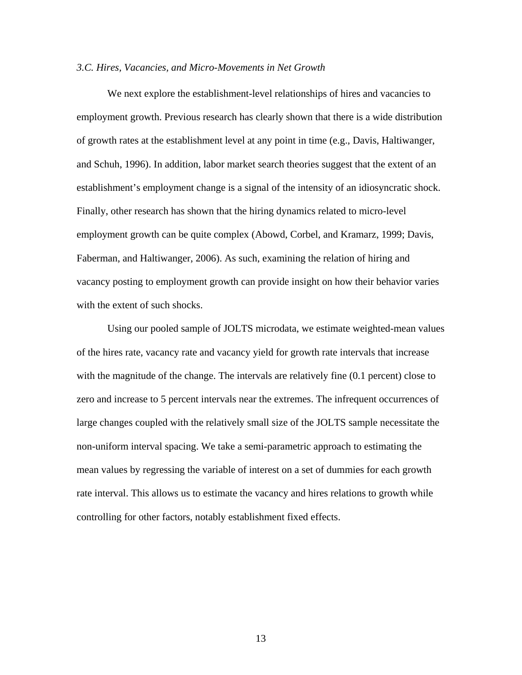### *3.C. Hires, Vacancies, and Micro-Movements in Net Growth*

 We next explore the establishment-level relationships of hires and vacancies to employment growth. Previous research has clearly shown that there is a wide distribution of growth rates at the establishment level at any point in time (e.g., Davis, Haltiwanger, and Schuh, 1996). In addition, labor market search theories suggest that the extent of an establishment's employment change is a signal of the intensity of an idiosyncratic shock. Finally, other research has shown that the hiring dynamics related to micro-level employment growth can be quite complex (Abowd, Corbel, and Kramarz, 1999; Davis, Faberman, and Haltiwanger, 2006). As such, examining the relation of hiring and vacancy posting to employment growth can provide insight on how their behavior varies with the extent of such shocks.

 Using our pooled sample of JOLTS microdata, we estimate weighted-mean values of the hires rate, vacancy rate and vacancy yield for growth rate intervals that increase with the magnitude of the change. The intervals are relatively fine (0.1 percent) close to zero and increase to 5 percent intervals near the extremes. The infrequent occurrences of large changes coupled with the relatively small size of the JOLTS sample necessitate the non-uniform interval spacing. We take a semi-parametric approach to estimating the mean values by regressing the variable of interest on a set of dummies for each growth rate interval. This allows us to estimate the vacancy and hires relations to growth while controlling for other factors, notably establishment fixed effects.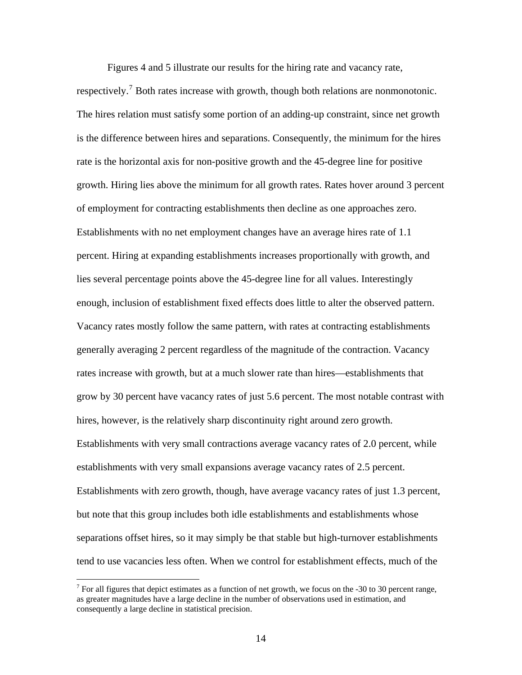Figures 4 and 5 illustrate our results for the hiring rate and vacancy rate,

<span id="page-14-0"></span>respectively.<sup>[7](#page-14-0)</sup> Both rates increase with growth, though both relations are nonmonotonic. The hires relation must satisfy some portion of an adding-up constraint, since net growth is the difference between hires and separations. Consequently, the minimum for the hires rate is the horizontal axis for non-positive growth and the 45-degree line for positive growth. Hiring lies above the minimum for all growth rates. Rates hover around 3 percent of employment for contracting establishments then decline as one approaches zero. Establishments with no net employment changes have an average hires rate of 1.1 percent. Hiring at expanding establishments increases proportionally with growth, and lies several percentage points above the 45-degree line for all values. Interestingly enough, inclusion of establishment fixed effects does little to alter the observed pattern. Vacancy rates mostly follow the same pattern, with rates at contracting establishments generally averaging 2 percent regardless of the magnitude of the contraction. Vacancy rates increase with growth, but at a much slower rate than hires—establishments that grow by 30 percent have vacancy rates of just 5.6 percent. The most notable contrast with hires, however, is the relatively sharp discontinuity right around zero growth. Establishments with very small contractions average vacancy rates of 2.0 percent, while establishments with very small expansions average vacancy rates of 2.5 percent. Establishments with zero growth, though, have average vacancy rates of just 1.3 percent, but note that this group includes both idle establishments and establishments whose separations offset hires, so it may simply be that stable but high-turnover establishments tend to use vacancies less often. When we control for establishment effects, much of the

 $\overline{a}$ 

<sup>&</sup>lt;sup>7</sup> For all figures that depict estimates as a function of net growth, we focus on the -30 to 30 percent range, as greater magnitudes have a large decline in the number of observations used in estimation, and consequently a large decline in statistical precision.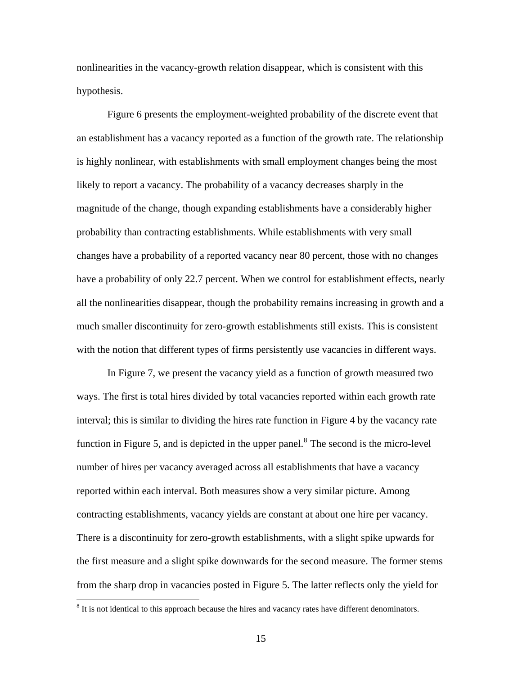<span id="page-15-0"></span>nonlinearities in the vacancy-growth relation disappear, which is consistent with this hypothesis.

 Figure 6 presents the employment-weighted probability of the discrete event that an establishment has a vacancy reported as a function of the growth rate. The relationship is highly nonlinear, with establishments with small employment changes being the most likely to report a vacancy. The probability of a vacancy decreases sharply in the magnitude of the change, though expanding establishments have a considerably higher probability than contracting establishments. While establishments with very small changes have a probability of a reported vacancy near 80 percent, those with no changes have a probability of only 22.7 percent. When we control for establishment effects, nearly all the nonlinearities disappear, though the probability remains increasing in growth and a much smaller discontinuity for zero-growth establishments still exists. This is consistent with the notion that different types of firms persistently use vacancies in different ways.

 In Figure 7, we present the vacancy yield as a function of growth measured two ways. The first is total hires divided by total vacancies reported within each growth rate interval; this is similar to dividing the hires rate function in Figure 4 by the vacancy rate function in Figure 5, and is depicted in the upper panel.<sup>[8](#page-15-0)</sup> The second is the micro-level number of hires per vacancy averaged across all establishments that have a vacancy reported within each interval. Both measures show a very similar picture. Among contracting establishments, vacancy yields are constant at about one hire per vacancy. There is a discontinuity for zero-growth establishments, with a slight spike upwards for the first measure and a slight spike downwards for the second measure. The former stems from the sharp drop in vacancies posted in Figure 5. The latter reflects only the yield for

 $\overline{a}$ 

 $8$  It is not identical to this approach because the hires and vacancy rates have different denominators.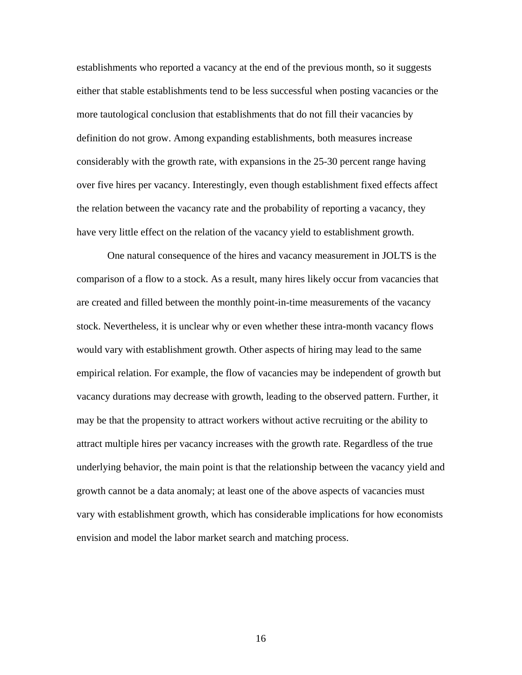establishments who reported a vacancy at the end of the previous month, so it suggests either that stable establishments tend to be less successful when posting vacancies or the more tautological conclusion that establishments that do not fill their vacancies by definition do not grow. Among expanding establishments, both measures increase considerably with the growth rate, with expansions in the 25-30 percent range having over five hires per vacancy. Interestingly, even though establishment fixed effects affect the relation between the vacancy rate and the probability of reporting a vacancy, they have very little effect on the relation of the vacancy yield to establishment growth.

 One natural consequence of the hires and vacancy measurement in JOLTS is the comparison of a flow to a stock. As a result, many hires likely occur from vacancies that are created and filled between the monthly point-in-time measurements of the vacancy stock. Nevertheless, it is unclear why or even whether these intra-month vacancy flows would vary with establishment growth. Other aspects of hiring may lead to the same empirical relation. For example, the flow of vacancies may be independent of growth but vacancy durations may decrease with growth, leading to the observed pattern. Further, it may be that the propensity to attract workers without active recruiting or the ability to attract multiple hires per vacancy increases with the growth rate. Regardless of the true underlying behavior, the main point is that the relationship between the vacancy yield and growth cannot be a data anomaly; at least one of the above aspects of vacancies must vary with establishment growth, which has considerable implications for how economists envision and model the labor market search and matching process.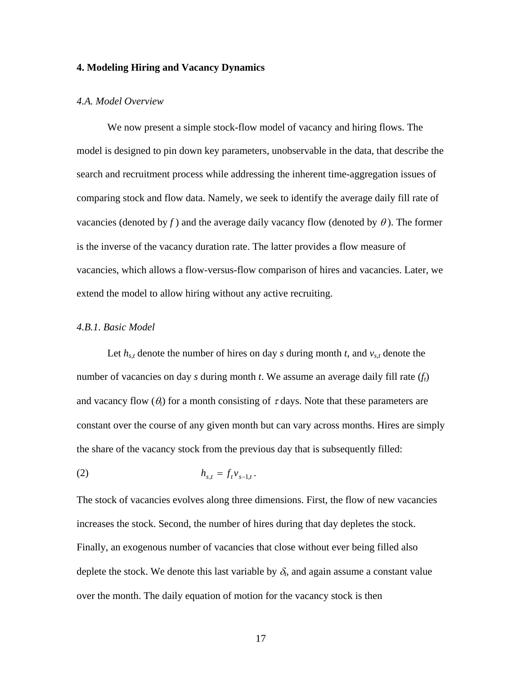### **4. Modeling Hiring and Vacancy Dynamics**

#### *4.A. Model Overview*

We now present a simple stock-flow model of vacancy and hiring flows. The model is designed to pin down key parameters, unobservable in the data, that describe the search and recruitment process while addressing the inherent time-aggregation issues of comparing stock and flow data. Namely, we seek to identify the average daily fill rate of vacancies (denoted by *f*) and the average daily vacancy flow (denoted by  $\theta$ ). The former is the inverse of the vacancy duration rate. The latter provides a flow measure of vacancies, which allows a flow-versus-flow comparison of hires and vacancies. Later, we extend the model to allow hiring without any active recruiting.

#### *4.B.1. Basic Model*

Let  $h_{s,t}$  denote the number of hires on day *s* during month *t*, and  $v_{s,t}$  denote the number of vacancies on day *s* during month *t*. We assume an average daily fill rate (*ft*) and vacancy flow  $(\theta_t)$  for a month consisting of  $\tau$  days. Note that these parameters are constant over the course of any given month but can vary across months. Hires are simply the share of the vacancy stock from the previous day that is subsequently filled:

(2) 
$$
h_{s,t} = f_t v_{s-1,t}.
$$

The stock of vacancies evolves along three dimensions. First, the flow of new vacancies increases the stock. Second, the number of hires during that day depletes the stock. Finally, an exogenous number of vacancies that close without ever being filled also deplete the stock. We denote this last variable by  $\delta_t$ , and again assume a constant value over the month. The daily equation of motion for the vacancy stock is then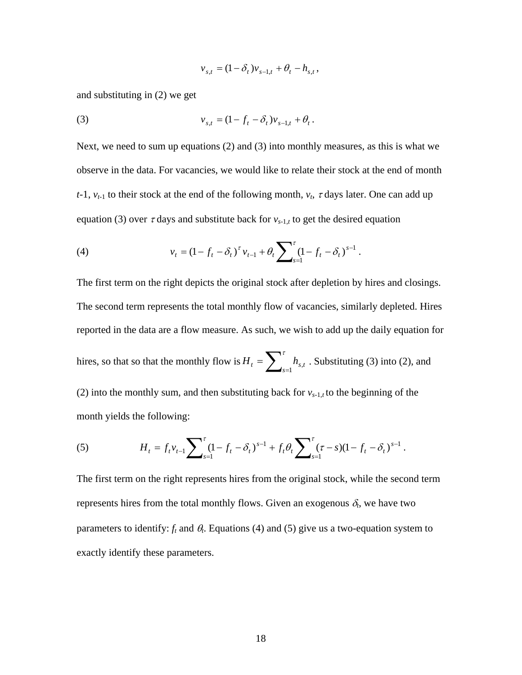$$
v_{s,t} = (1 - \delta_t) v_{s-1,t} + \theta_t - h_{s,t},
$$

and substituting in (2) we get

(3) 
$$
v_{s,t} = (1 - f_t - \delta_t) v_{s-1,t} + \theta_t.
$$

Next, we need to sum up equations (2) and (3) into monthly measures, as this is what we observe in the data. For vacancies, we would like to relate their stock at the end of month *t*-1,  $v_{t-1}$  to their stock at the end of the following month,  $v_t$ ,  $\tau$  days later. One can add up equation (3) over  $\tau$  days and substitute back for  $v_{s-1,t}$  to get the desired equation

(4) 
$$
v_t = (1 - f_t - \delta_t)^{\tau} v_{t-1} + \theta_t \sum\nolimits_{s=1}^{\tau} (1 - f_t - \delta_t)^{s-1}.
$$

The first term on the right depicts the original stock after depletion by hires and closings. The second term represents the total monthly flow of vacancies, similarly depleted. Hires reported in the data are a flow measure. As such, we wish to add up the daily equation for hires, so that so that the monthly flow is  $H_t = \sum_{s=1}^{\tau} h_{s,t}$ . Substituting (3) into (2), and (2) into the monthly sum, and then substituting back for  $v_{s-1,t}$  to the beginning of the month yields the following:

(5) 
$$
H_t = f_t v_{t-1} \sum_{s=1}^{\tau} (1 - f_t - \delta_t)^{s-1} + f_t \theta_t \sum_{s=1}^{\tau} (\tau - s)(1 - f_t - \delta_t)^{s-1}.
$$

The first term on the right represents hires from the original stock, while the second term represents hires from the total monthly flows. Given an exogenous  $\delta_t$ , we have two parameters to identify:  $f_t$  and  $\theta_t$ . Equations (4) and (5) give us a two-equation system to exactly identify these parameters.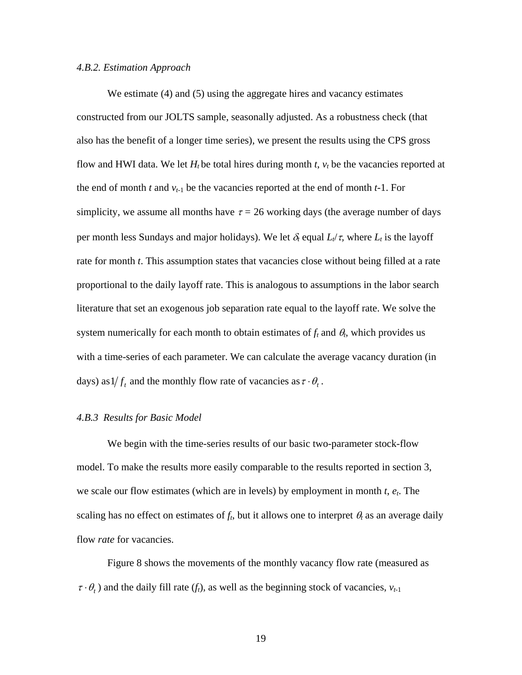#### *4.B.2. Estimation Approach*

We estimate (4) and (5) using the aggregate hires and vacancy estimates constructed from our JOLTS sample, seasonally adjusted. As a robustness check (that also has the benefit of a longer time series), we present the results using the CPS gross flow and HWI data. We let  $H_t$  be total hires during month  $t$ ,  $v_t$  be the vacancies reported at the end of month *t* and  $v_{t-1}$  be the vacancies reported at the end of month *t*-1. For simplicity, we assume all months have  $\tau = 26$  working days (the average number of days per month less Sundays and major holidays). We let  $\delta_t$  equal  $L_t/\tau$ , where  $L_t$  is the layoff rate for month *t*. This assumption states that vacancies close without being filled at a rate proportional to the daily layoff rate. This is analogous to assumptions in the labor search literature that set an exogenous job separation rate equal to the layoff rate. We solve the system numerically for each month to obtain estimates of  $f_t$  and  $\theta_t$ , which provides us with a time-series of each parameter. We can calculate the average vacancy duration (in days) as  $1/f_t$  and the monthly flow rate of vacancies as  $\tau \cdot \theta_t$ .

#### *4.B.3 Results for Basic Model*

 We begin with the time-series results of our basic two-parameter stock-flow model. To make the results more easily comparable to the results reported in section 3, we scale our flow estimates (which are in levels) by employment in month *t*, *et*. The scaling has no effect on estimates of  $f_t$ , but it allows one to interpret  $\theta_t$  as an average daily flow *rate* for vacancies.

Figure 8 shows the movements of the monthly vacancy flow rate (measured as  $\tau \cdot \theta_t$ ) and the daily fill rate ( $f_t$ ), as well as the beginning stock of vacancies,  $v_{t-1}$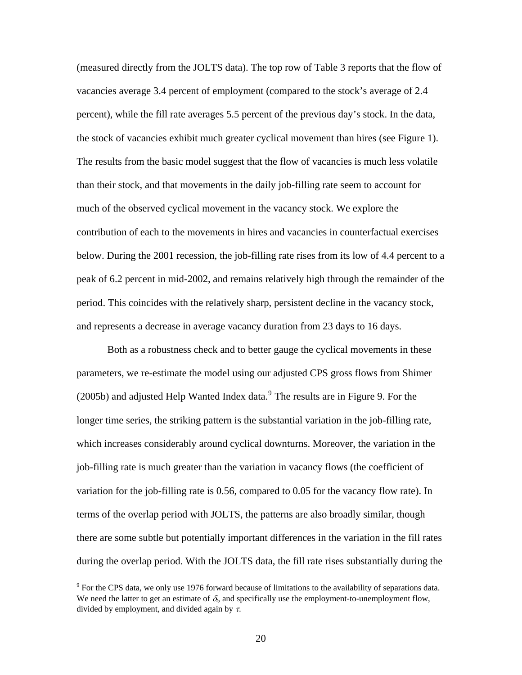<span id="page-20-0"></span>(measured directly from the JOLTS data). The top row of Table 3 reports that the flow of vacancies average 3.4 percent of employment (compared to the stock's average of 2.4 percent), while the fill rate averages 5.5 percent of the previous day's stock. In the data, the stock of vacancies exhibit much greater cyclical movement than hires (see Figure 1). The results from the basic model suggest that the flow of vacancies is much less volatile than their stock, and that movements in the daily job-filling rate seem to account for much of the observed cyclical movement in the vacancy stock. We explore the contribution of each to the movements in hires and vacancies in counterfactual exercises below. During the 2001 recession, the job-filling rate rises from its low of 4.4 percent to a peak of 6.2 percent in mid-2002, and remains relatively high through the remainder of the period. This coincides with the relatively sharp, persistent decline in the vacancy stock, and represents a decrease in average vacancy duration from 23 days to 16 days.

 Both as a robustness check and to better gauge the cyclical movements in these parameters, we re-estimate the model using our adjusted CPS gross flows from Shimer  $(2005b)$  and adjusted Help Wanted Index data. $<sup>9</sup>$  $<sup>9</sup>$  $<sup>9</sup>$  The results are in Figure 9. For the</sup> longer time series, the striking pattern is the substantial variation in the job-filling rate, which increases considerably around cyclical downturns. Moreover, the variation in the job-filling rate is much greater than the variation in vacancy flows (the coefficient of variation for the job-filling rate is 0.56, compared to 0.05 for the vacancy flow rate). In terms of the overlap period with JOLTS, the patterns are also broadly similar, though there are some subtle but potentially important differences in the variation in the fill rates during the overlap period. With the JOLTS data, the fill rate rises substantially during the

 $\overline{a}$ 

<sup>&</sup>lt;sup>9</sup> For the CPS data, we only use 1976 forward because of limitations to the availability of separations data. We need the latter to get an estimate of  $\delta$ , and specifically use the employment-to-unemployment flow, divided by employment, and divided again by  $\tau$ .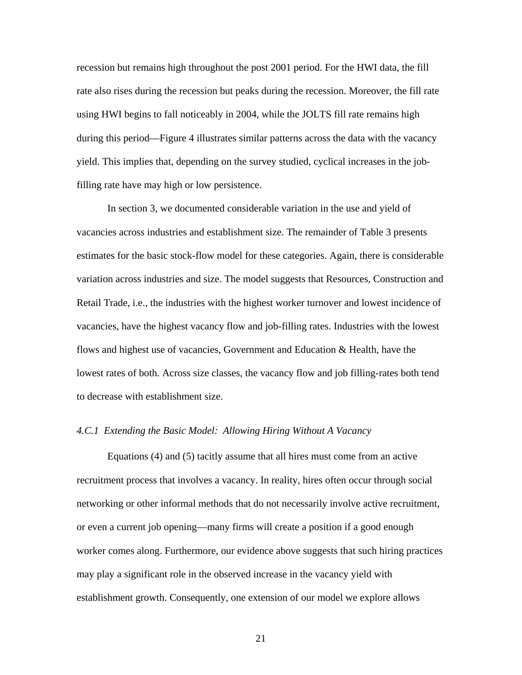recession but remains high throughout the post 2001 period. For the HWI data, the fill rate also rises during the recession but peaks during the recession. Moreover, the fill rate using HWI begins to fall noticeably in 2004, while the JOLTS fill rate remains high during this period—Figure 4 illustrates similar patterns across the data with the vacancy yield. This implies that, depending on the survey studied, cyclical increases in the jobfilling rate have may high or low persistence.

 In section 3, we documented considerable variation in the use and yield of vacancies across industries and establishment size. The remainder of Table 3 presents estimates for the basic stock-flow model for these categories. Again, there is considerable variation across industries and size. The model suggests that Resources, Construction and Retail Trade, i.e., the industries with the highest worker turnover and lowest incidence of vacancies, have the highest vacancy flow and job-filling rates. Industries with the lowest flows and highest use of vacancies, Government and Education & Health, have the lowest rates of both. Across size classes, the vacancy flow and job filling-rates both tend to decrease with establishment size.

### *4.C.1 Extending the Basic Model: Allowing Hiring Without A Vacancy*

 Equations (4) and (5) tacitly assume that all hires must come from an active recruitment process that involves a vacancy. In reality, hires often occur through social networking or other informal methods that do not necessarily involve active recruitment, or even a current job opening—many firms will create a position if a good enough worker comes along. Furthermore, our evidence above suggests that such hiring practices may play a significant role in the observed increase in the vacancy yield with establishment growth. Consequently, one extension of our model we explore allows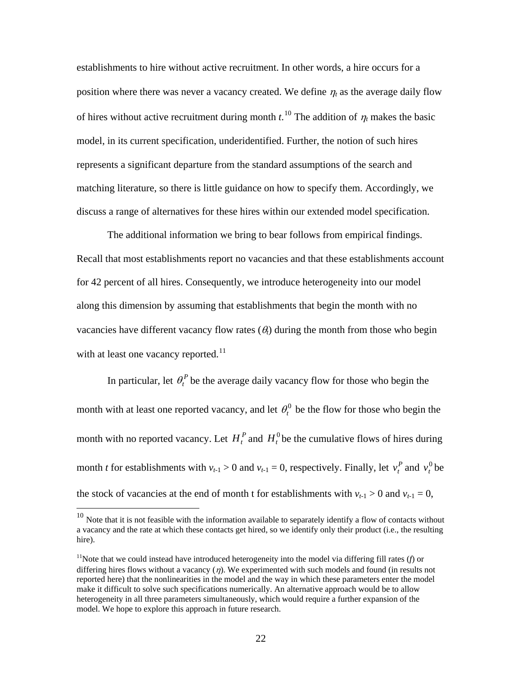<span id="page-22-0"></span>establishments to hire without active recruitment. In other words, a hire occurs for a position where there was never a vacancy created. We define  $\eta_t$  as the average daily flow of hires without active recruitment during month  $t^{10}$  $t^{10}$  $t^{10}$ . The addition of  $\eta_t$  makes the basic model, in its current specification, underidentified. Further, the notion of such hires represents a significant departure from the standard assumptions of the search and matching literature, so there is little guidance on how to specify them. Accordingly, we discuss a range of alternatives for these hires within our extended model specification.

The additional information we bring to bear follows from empirical findings. Recall that most establishments report no vacancies and that these establishments account for 42 percent of all hires. Consequently, we introduce heterogeneity into our model along this dimension by assuming that establishments that begin the month with no vacancies have different vacancy flow rates  $(\theta_t)$  during the month from those who begin with at least one vacancy reported.<sup>[11](#page-22-0)</sup>

In particular, let  $\theta_t^P$  be the average daily vacancy flow for those who begin the month with at least one reported vacancy, and let  $\theta_t^0$  be the flow for those who begin the month with no reported vacancy. Let  $H_t^P$  and  $H_t^0$  be the cumulative flows of hires during month *t* for establishments with  $v_{t-1} > 0$  and  $v_{t-1} = 0$ , respectively. Finally, let  $v_t^P$  and  $v_t^0$  be the stock of vacancies at the end of month t for establishments with  $v_{t-1} > 0$  and  $v_{t-1} = 0$ ,

 $\overline{a}$ 

 $10$  Note that it is not feasible with the information available to separately identify a flow of contacts without a vacancy and the rate at which these contacts get hired, so we identify only their product (i.e., the resulting hire).

<sup>&</sup>lt;sup>11</sup>Note that we could instead have introduced heterogeneity into the model via differing fill rates ( $f$ ) or differing hires flows without a vacancy  $(\eta)$ . We experimented with such models and found (in results not reported here) that the nonlinearities in the model and the way in which these parameters enter the model make it difficult to solve such specifications numerically. An alternative approach would be to allow heterogeneity in all three parameters simultaneously, which would require a further expansion of the model. We hope to explore this approach in future research.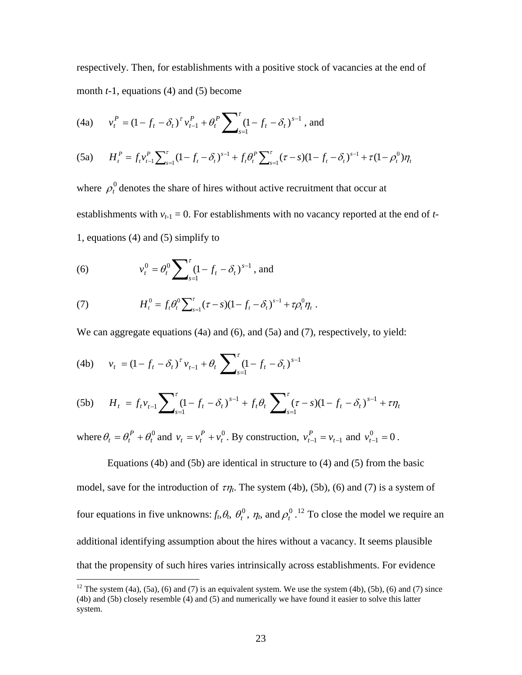<span id="page-23-0"></span>respectively. Then, for establishments with a positive stock of vacancies at the end of month *t*-1, equations (4) and (5) become

(4a) 
$$
v_t^P = (1 - f_t - \delta_t)^{\tau} v_{t-1}^P + \theta_t^P \sum_{s=1}^{\tau} (1 - f_t - \delta_t)^{s-1}
$$
, and

(5a) 
$$
H_t^P = f_t v_{t-1}^P \sum_{s=1}^{\tau} (1 - f_t - \delta_t)^{s-1} + f_t \theta_t^P \sum_{s=1}^{\tau} (\tau - s)(1 - f_t - \delta_t)^{s-1} + \tau (1 - \rho_t^0) \eta_t
$$

where  $\rho_t^0$  denotes the share of hires without active recruitment that occur at establishments with  $v_{t-1} = 0$ . For establishments with no vacancy reported at the end of  $t$ -1, equations (4) and (5) simplify to

(6) 
$$
v_t^0 = \theta_t^0 \sum_{s=1}^{\tau} (1 - f_t - \delta_t)^{s-1}
$$
, and

(7) 
$$
H_t^0 = f_t \theta_t^0 \sum_{s=1}^{\tau} (\tau - s)(1 - f_t - \delta_t)^{s-1} + \tau \rho_t^0 \eta_t.
$$

We can aggregate equations (4a) and (6), and (5a) and (7), respectively, to yield:

(4b) 
$$
v_t = (1 - f_t - \delta_t)^{r} v_{t-1} + \theta_t \sum_{s=1}^{r} (1 - f_t - \delta_t)^{s-1}
$$

 $\overline{a}$ 

(5b) 
$$
H_t = f_t v_{t-1} \sum_{s=1}^{\tau} (1 - f_t - \delta_t)^{s-1} + f_t \theta_t \sum_{s=1}^{\tau} (\tau - s)(1 - f_t - \delta_t)^{s-1} + \tau \eta_t
$$

where  $\theta_t = \theta_t^P + \theta_t^0$  and  $v_t = v_t^P + v_t^0$ . By construction,  $v_{t-1}^P = v_{t-1}$  and  $v_{t-1}^0 = 0$ .  $\theta_t = \theta_t^P + \theta_t^0$  and  $v_t = v_t^P + v_t^0$  $v_t = v_t^P + v_t^0$ . By construction,  $v_{t-1}^P = v_{t-1}$  and  $v_{t-1}^0 = 0$ 

 Equations (4b) and (5b) are identical in structure to (4) and (5) from the basic model, save for the introduction of  $\tau\eta_t$ . The system (4b), (5b), (6) and (7) is a system of four equations in five unknowns:  $f_t$ ,  $\theta_t$ ,  $\theta_t^0$ ,  $\eta_t$ , and  $\rho_t^0$ . <sup>[12](#page-23-0)</sup> To close the model we require an additional identifying assumption about the hires without a vacancy. It seems plausible that the propensity of such hires varies intrinsically across establishments. For evidence

<sup>&</sup>lt;sup>12</sup> The system (4a), (5a), (6) and (7) is an equivalent system. We use the system (4b), (5b), (6) and (7) since (4b) and (5b) closely resemble (4) and (5) and numerically we have found it easier to solve this latter system.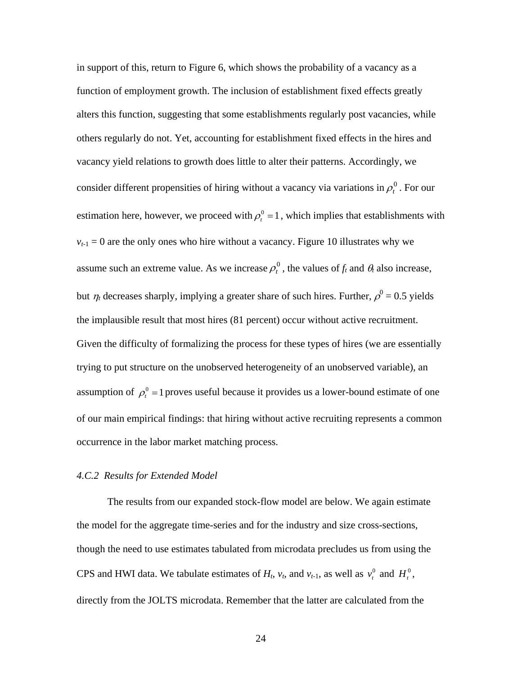in support of this, return to Figure 6, which shows the probability of a vacancy as a function of employment growth. The inclusion of establishment fixed effects greatly alters this function, suggesting that some establishments regularly post vacancies, while others regularly do not. Yet, accounting for establishment fixed effects in the hires and vacancy yield relations to growth does little to alter their patterns. Accordingly, we consider different propensities of hiring without a vacancy via variations in  $\rho_t^0$ . For our estimation here, however, we proceed with  $\rho_t^0 = 1$ , which implies that establishments with  $v_{t-1} = 0$  are the only ones who hire without a vacancy. Figure 10 illustrates why we assume such an extreme value. As we increase  $\rho_t^0$ , the values of  $f_t$  and  $\theta_t$  also increase, but  $\eta_t$  decreases sharply, implying a greater share of such hires. Further,  $\rho^0 = 0.5$  yields the implausible result that most hires (81 percent) occur without active recruitment. Given the difficulty of formalizing the process for these types of hires (we are essentially trying to put structure on the unobserved heterogeneity of an unobserved variable), an assumption of  $\rho_t^0 = 1$  proves useful because it provides us a lower-bound estimate of one of our main empirical findings: that hiring without active recruiting represents a common occurrence in the labor market matching process.

### *4.C.2 Results for Extended Model*

 The results from our expanded stock-flow model are below. We again estimate the model for the aggregate time-series and for the industry and size cross-sections, though the need to use estimates tabulated from microdata precludes us from using the CPS and HWI data. We tabulate estimates of  $H_t$ ,  $v_t$ , and  $v_{t-1}$ , as well as  $v_t^0$  and  $H_t^0$ , directly from the JOLTS microdata. Remember that the latter are calculated from the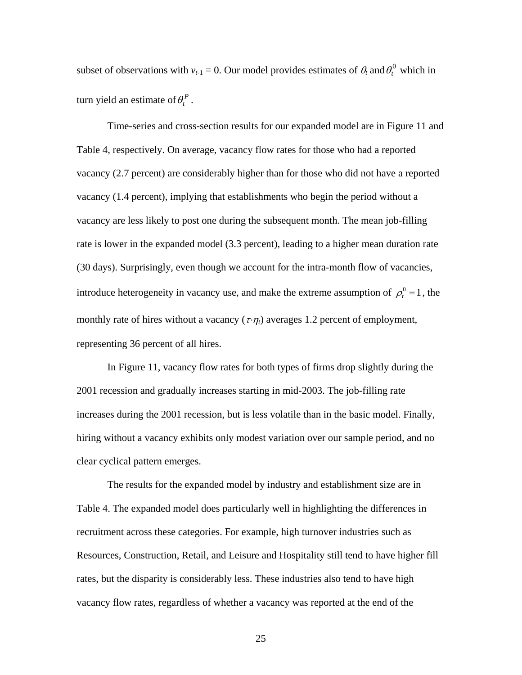subset of observations with  $v_{t-1} = 0$ . Our model provides estimates of  $\theta_t$  and  $\theta_t^0$  which in  $turn$  yield an estimate of  $\theta_t^P$ .

 Time-series and cross-section results for our expanded model are in Figure 11 and Table 4, respectively. On average, vacancy flow rates for those who had a reported vacancy (2.7 percent) are considerably higher than for those who did not have a reported vacancy (1.4 percent), implying that establishments who begin the period without a vacancy are less likely to post one during the subsequent month. The mean job-filling rate is lower in the expanded model (3.3 percent), leading to a higher mean duration rate (30 days). Surprisingly, even though we account for the intra-month flow of vacancies, introduce heterogeneity in vacancy use, and make the extreme assumption of  $\rho_t^0 = 1$ , the monthly rate of hires without a vacancy  $(\tau \cdot \eta_t)$  averages 1.2 percent of employment, representing 36 percent of all hires.

 In Figure 11, vacancy flow rates for both types of firms drop slightly during the 2001 recession and gradually increases starting in mid-2003. The job-filling rate increases during the 2001 recession, but is less volatile than in the basic model. Finally, hiring without a vacancy exhibits only modest variation over our sample period, and no clear cyclical pattern emerges.

 The results for the expanded model by industry and establishment size are in Table 4. The expanded model does particularly well in highlighting the differences in recruitment across these categories. For example, high turnover industries such as Resources, Construction, Retail, and Leisure and Hospitality still tend to have higher fill rates, but the disparity is considerably less. These industries also tend to have high vacancy flow rates, regardless of whether a vacancy was reported at the end of the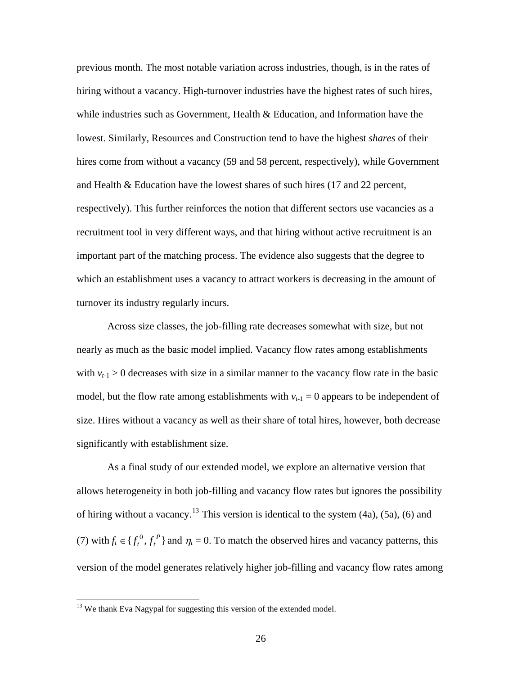<span id="page-26-0"></span>previous month. The most notable variation across industries, though, is in the rates of hiring without a vacancy. High-turnover industries have the highest rates of such hires, while industries such as Government, Health  $&$  Education, and Information have the lowest. Similarly, Resources and Construction tend to have the highest *shares* of their hires come from without a vacancy (59 and 58 percent, respectively), while Government and Health & Education have the lowest shares of such hires (17 and 22 percent, respectively). This further reinforces the notion that different sectors use vacancies as a recruitment tool in very different ways, and that hiring without active recruitment is an important part of the matching process. The evidence also suggests that the degree to which an establishment uses a vacancy to attract workers is decreasing in the amount of turnover its industry regularly incurs.

 Across size classes, the job-filling rate decreases somewhat with size, but not nearly as much as the basic model implied. Vacancy flow rates among establishments with  $v_{t-1} > 0$  decreases with size in a similar manner to the vacancy flow rate in the basic model, but the flow rate among establishments with  $v_{t-1} = 0$  appears to be independent of size. Hires without a vacancy as well as their share of total hires, however, both decrease significantly with establishment size.

 As a final study of our extended model, we explore an alternative version that allows heterogeneity in both job-filling and vacancy flow rates but ignores the possibility of hiring without a vacancy.<sup>[13](#page-26-0)</sup> This version is identical to the system  $(4a)$ ,  $(5a)$ ,  $(6)$  and (7) with  $f_t \in \{f_t^0, f_t^P\}$  and  $\eta_t = 0$ . To match the observed hires and vacancy patterns, this version of the model generates relatively higher job-filling and vacancy flow rates among

 $\overline{a}$ 

 $13$  We thank Eva Nagypal for suggesting this version of the extended model.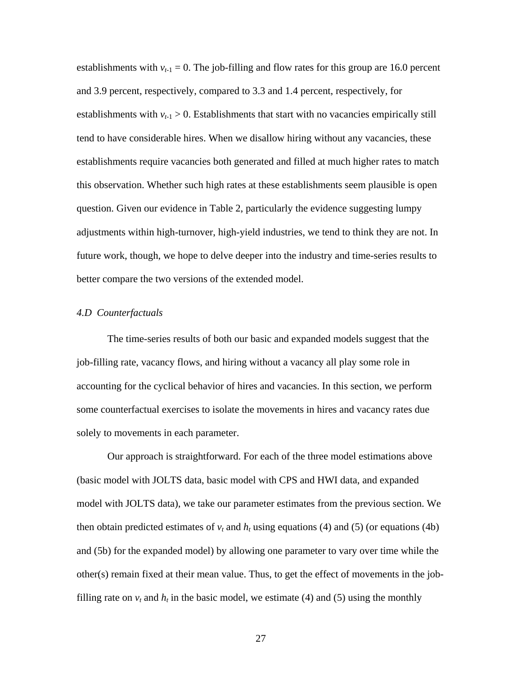establishments with  $v_{t-1} = 0$ . The job-filling and flow rates for this group are 16.0 percent and 3.9 percent, respectively, compared to 3.3 and 1.4 percent, respectively, for establishments with  $v_{t-1} > 0$ . Establishments that start with no vacancies empirically still tend to have considerable hires. When we disallow hiring without any vacancies, these establishments require vacancies both generated and filled at much higher rates to match this observation. Whether such high rates at these establishments seem plausible is open question. Given our evidence in Table 2, particularly the evidence suggesting lumpy adjustments within high-turnover, high-yield industries, we tend to think they are not. In future work, though, we hope to delve deeper into the industry and time-series results to better compare the two versions of the extended model.

#### *4.D Counterfactuals*

 The time-series results of both our basic and expanded models suggest that the job-filling rate, vacancy flows, and hiring without a vacancy all play some role in accounting for the cyclical behavior of hires and vacancies. In this section, we perform some counterfactual exercises to isolate the movements in hires and vacancy rates due solely to movements in each parameter.

 Our approach is straightforward. For each of the three model estimations above (basic model with JOLTS data, basic model with CPS and HWI data, and expanded model with JOLTS data), we take our parameter estimates from the previous section. We then obtain predicted estimates of  $v_t$  and  $h_t$  using equations (4) and (5) (or equations (4b) and (5b) for the expanded model) by allowing one parameter to vary over time while the other(s) remain fixed at their mean value. Thus, to get the effect of movements in the jobfilling rate on  $v_t$  and  $h_t$  in the basic model, we estimate (4) and (5) using the monthly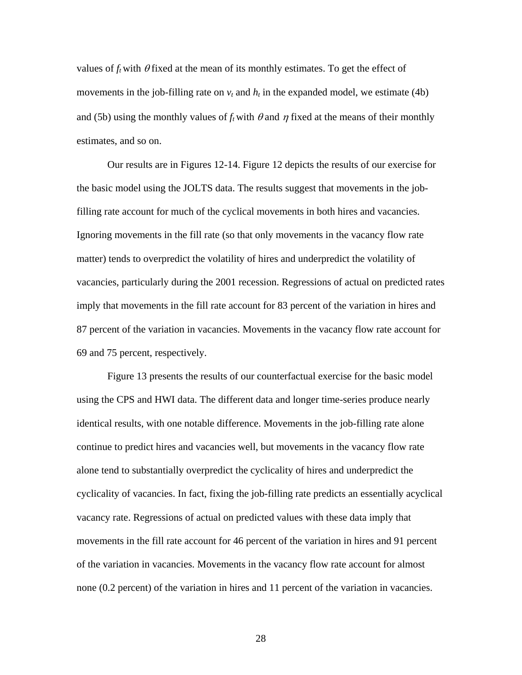values of  $f_t$  with  $\theta$  fixed at the mean of its monthly estimates. To get the effect of movements in the job-filling rate on  $v_t$  and  $h_t$  in the expanded model, we estimate (4b) and (5b) using the monthly values of  $f_t$  with  $\theta$  and  $\eta$  fixed at the means of their monthly estimates, and so on.

 Our results are in Figures 12-14. Figure 12 depicts the results of our exercise for the basic model using the JOLTS data. The results suggest that movements in the jobfilling rate account for much of the cyclical movements in both hires and vacancies. Ignoring movements in the fill rate (so that only movements in the vacancy flow rate matter) tends to overpredict the volatility of hires and underpredict the volatility of vacancies, particularly during the 2001 recession. Regressions of actual on predicted rates imply that movements in the fill rate account for 83 percent of the variation in hires and 87 percent of the variation in vacancies. Movements in the vacancy flow rate account for 69 and 75 percent, respectively.

 Figure 13 presents the results of our counterfactual exercise for the basic model using the CPS and HWI data. The different data and longer time-series produce nearly identical results, with one notable difference. Movements in the job-filling rate alone continue to predict hires and vacancies well, but movements in the vacancy flow rate alone tend to substantially overpredict the cyclicality of hires and underpredict the cyclicality of vacancies. In fact, fixing the job-filling rate predicts an essentially acyclical vacancy rate. Regressions of actual on predicted values with these data imply that movements in the fill rate account for 46 percent of the variation in hires and 91 percent of the variation in vacancies. Movements in the vacancy flow rate account for almost none (0.2 percent) of the variation in hires and 11 percent of the variation in vacancies.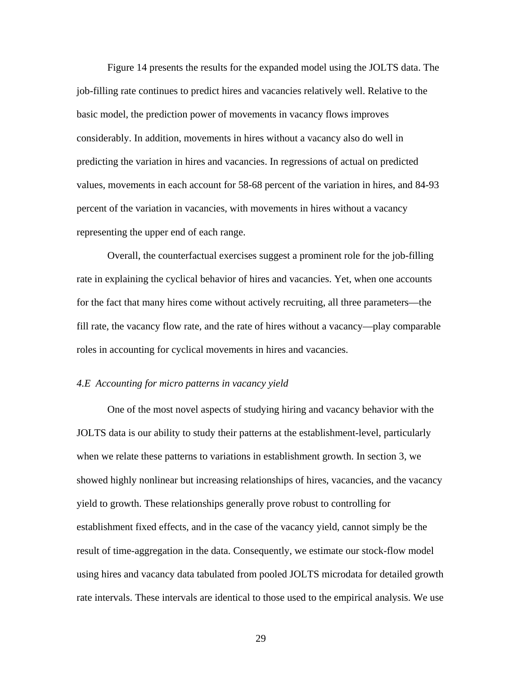Figure 14 presents the results for the expanded model using the JOLTS data. The job-filling rate continues to predict hires and vacancies relatively well. Relative to the basic model, the prediction power of movements in vacancy flows improves considerably. In addition, movements in hires without a vacancy also do well in predicting the variation in hires and vacancies. In regressions of actual on predicted values, movements in each account for 58-68 percent of the variation in hires, and 84-93 percent of the variation in vacancies, with movements in hires without a vacancy representing the upper end of each range.

 Overall, the counterfactual exercises suggest a prominent role for the job-filling rate in explaining the cyclical behavior of hires and vacancies. Yet, when one accounts for the fact that many hires come without actively recruiting, all three parameters—the fill rate, the vacancy flow rate, and the rate of hires without a vacancy—play comparable roles in accounting for cyclical movements in hires and vacancies.

### *4.E Accounting for micro patterns in vacancy yield*

 One of the most novel aspects of studying hiring and vacancy behavior with the JOLTS data is our ability to study their patterns at the establishment-level, particularly when we relate these patterns to variations in establishment growth. In section 3, we showed highly nonlinear but increasing relationships of hires, vacancies, and the vacancy yield to growth. These relationships generally prove robust to controlling for establishment fixed effects, and in the case of the vacancy yield, cannot simply be the result of time-aggregation in the data. Consequently, we estimate our stock-flow model using hires and vacancy data tabulated from pooled JOLTS microdata for detailed growth rate intervals. These intervals are identical to those used to the empirical analysis. We use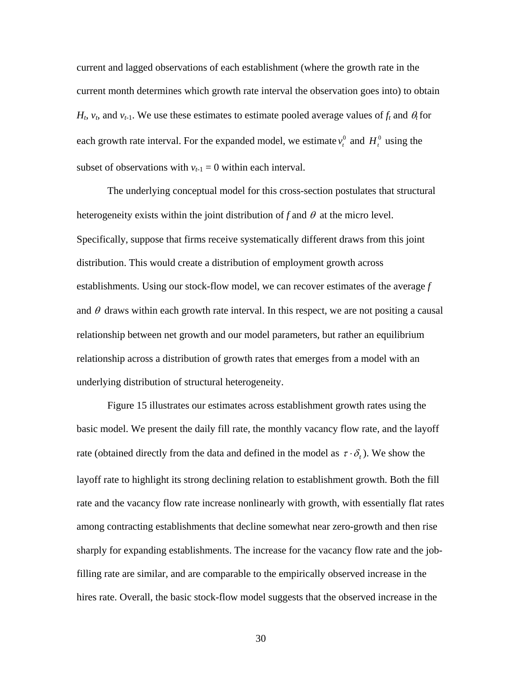current and lagged observations of each establishment (where the growth rate in the current month determines which growth rate interval the observation goes into) to obtain  $H_t$ ,  $v_t$ , and  $v_{t-1}$ . We use these estimates to estimate pooled average values of  $f_t$  and  $\theta_t$  for each growth rate interval. For the expanded model, we estimate  $v_t^0$  and  $H_t^0$  using the subset of observations with  $v_{t-1} = 0$  within each interval.

 The underlying conceptual model for this cross-section postulates that structural heterogeneity exists within the joint distribution of  $f$  and  $\theta$  at the micro level. Specifically, suppose that firms receive systematically different draws from this joint distribution. This would create a distribution of employment growth across establishments. Using our stock-flow model, we can recover estimates of the average *f*  and  $\theta$  draws within each growth rate interval. In this respect, we are not positing a causal relationship between net growth and our model parameters, but rather an equilibrium relationship across a distribution of growth rates that emerges from a model with an underlying distribution of structural heterogeneity.

 Figure 15 illustrates our estimates across establishment growth rates using the basic model. We present the daily fill rate, the monthly vacancy flow rate, and the layoff rate (obtained directly from the data and defined in the model as  $\tau \cdot \delta_t$ ). We show the layoff rate to highlight its strong declining relation to establishment growth. Both the fill rate and the vacancy flow rate increase nonlinearly with growth, with essentially flat rates among contracting establishments that decline somewhat near zero-growth and then rise sharply for expanding establishments. The increase for the vacancy flow rate and the jobfilling rate are similar, and are comparable to the empirically observed increase in the hires rate. Overall, the basic stock-flow model suggests that the observed increase in the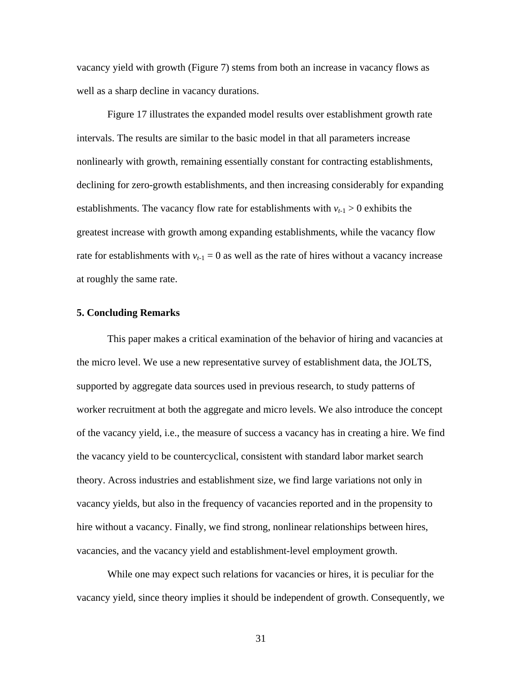vacancy yield with growth (Figure 7) stems from both an increase in vacancy flows as well as a sharp decline in vacancy durations.

 Figure 17 illustrates the expanded model results over establishment growth rate intervals. The results are similar to the basic model in that all parameters increase nonlinearly with growth, remaining essentially constant for contracting establishments, declining for zero-growth establishments, and then increasing considerably for expanding establishments. The vacancy flow rate for establishments with  $v_{t-1} > 0$  exhibits the greatest increase with growth among expanding establishments, while the vacancy flow rate for establishments with  $v_{t-1} = 0$  as well as the rate of hires without a vacancy increase at roughly the same rate.

#### **5. Concluding Remarks**

 This paper makes a critical examination of the behavior of hiring and vacancies at the micro level. We use a new representative survey of establishment data, the JOLTS, supported by aggregate data sources used in previous research, to study patterns of worker recruitment at both the aggregate and micro levels. We also introduce the concept of the vacancy yield, i.e., the measure of success a vacancy has in creating a hire. We find the vacancy yield to be countercyclical, consistent with standard labor market search theory. Across industries and establishment size, we find large variations not only in vacancy yields, but also in the frequency of vacancies reported and in the propensity to hire without a vacancy. Finally, we find strong, nonlinear relationships between hires, vacancies, and the vacancy yield and establishment-level employment growth.

While one may expect such relations for vacancies or hires, it is peculiar for the vacancy yield, since theory implies it should be independent of growth. Consequently, we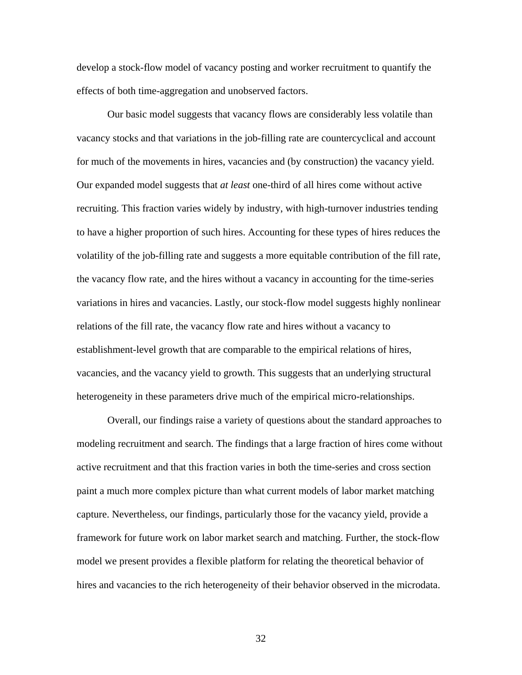develop a stock-flow model of vacancy posting and worker recruitment to quantify the effects of both time-aggregation and unobserved factors.

 Our basic model suggests that vacancy flows are considerably less volatile than vacancy stocks and that variations in the job-filling rate are countercyclical and account for much of the movements in hires, vacancies and (by construction) the vacancy yield. Our expanded model suggests that *at least* one-third of all hires come without active recruiting. This fraction varies widely by industry, with high-turnover industries tending to have a higher proportion of such hires. Accounting for these types of hires reduces the volatility of the job-filling rate and suggests a more equitable contribution of the fill rate, the vacancy flow rate, and the hires without a vacancy in accounting for the time-series variations in hires and vacancies. Lastly, our stock-flow model suggests highly nonlinear relations of the fill rate, the vacancy flow rate and hires without a vacancy to establishment-level growth that are comparable to the empirical relations of hires, vacancies, and the vacancy yield to growth. This suggests that an underlying structural heterogeneity in these parameters drive much of the empirical micro-relationships.

Overall, our findings raise a variety of questions about the standard approaches to modeling recruitment and search. The findings that a large fraction of hires come without active recruitment and that this fraction varies in both the time-series and cross section paint a much more complex picture than what current models of labor market matching capture. Nevertheless, our findings, particularly those for the vacancy yield, provide a framework for future work on labor market search and matching. Further, the stock-flow model we present provides a flexible platform for relating the theoretical behavior of hires and vacancies to the rich heterogeneity of their behavior observed in the microdata.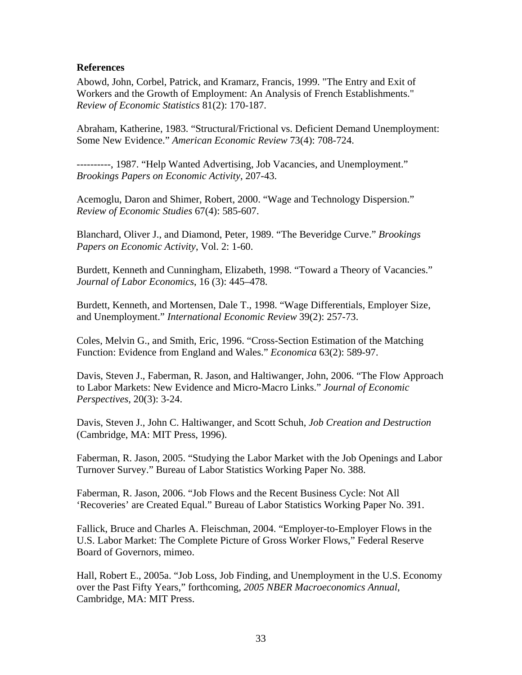### **References**

Abowd, John, Corbel, Patrick, and Kramarz, Francis, 1999. "The Entry and Exit of Workers and the Growth of Employment: An Analysis of French Establishments." *Review of Economic Statistics* 81(2): 170-187.

Abraham, Katherine, 1983. "Structural/Frictional vs. Deficient Demand Unemployment: Some New Evidence." *American Economic Review* 73(4): 708-724.

----------, 1987. "Help Wanted Advertising, Job Vacancies, and Unemployment." *Brookings Papers on Economic Activity*, 207-43.

Acemoglu, Daron and Shimer, Robert, 2000. "Wage and Technology Dispersion." *Review of Economic Studies* 67(4): 585-607.

Blanchard, Oliver J., and Diamond, Peter, 1989. "The Beveridge Curve." *Brookings Papers on Economic Activity*, Vol. 2: 1-60.

Burdett, Kenneth and Cunningham, Elizabeth, 1998. "Toward a Theory of Vacancies." *Journal of Labor Economics*, 16 (3): 445–478.

Burdett, Kenneth, and Mortensen, Dale T., 1998. "Wage Differentials, Employer Size, and Unemployment." *International Economic Review* 39(2): 257-73.

Coles, Melvin G., and Smith, Eric, 1996. "Cross-Section Estimation of the Matching Function: Evidence from England and Wales." *Economica* 63(2): 589-97.

Davis, Steven J., Faberman, R. Jason, and Haltiwanger, John, 2006. "The Flow Approach to Labor Markets: New Evidence and Micro-Macro Links." *Journal of Economic Perspectives*, 20(3): 3-24.

Davis, Steven J., John C. Haltiwanger, and Scott Schuh, *Job Creation and Destruction* (Cambridge, MA: MIT Press, 1996).

Faberman, R. Jason, 2005. "Studying the Labor Market with the Job Openings and Labor Turnover Survey." Bureau of Labor Statistics Working Paper No. 388.

Faberman, R. Jason, 2006. "Job Flows and the Recent Business Cycle: Not All 'Recoveries' are Created Equal." Bureau of Labor Statistics Working Paper No. 391.

Fallick, Bruce and Charles A. Fleischman, 2004. "Employer-to-Employer Flows in the U.S. Labor Market: The Complete Picture of Gross Worker Flows," Federal Reserve Board of Governors, mimeo.

Hall, Robert E., 2005a. "Job Loss, Job Finding, and Unemployment in the U.S. Economy over the Past Fifty Years," forthcoming, *2005 NBER Macroeconomics Annual*, Cambridge, MA: MIT Press.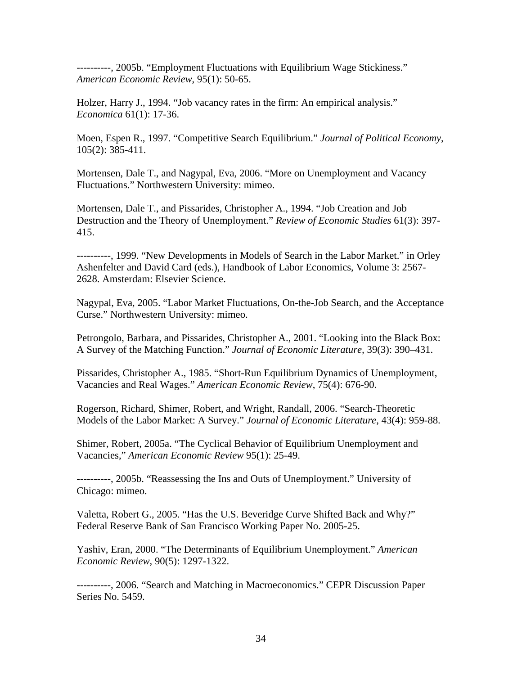----------, 2005b. "Employment Fluctuations with Equilibrium Wage Stickiness." *American Economic Review*, 95(1): 50-65.

Holzer, Harry J., 1994. "Job vacancy rates in the firm: An empirical analysis." *Economica* 61(1): 17-36.

Moen, Espen R., 1997. "Competitive Search Equilibrium." *Journal of Political Economy*, 105(2): 385-411.

Mortensen, Dale T., and Nagypal, Eva, 2006. "More on Unemployment and Vacancy Fluctuations." Northwestern University: mimeo.

Mortensen, Dale T., and Pissarides, Christopher A., 1994. "Job Creation and Job Destruction and the Theory of Unemployment." *Review of Economic Studies* 61(3): 397- 415.

----------, 1999. "New Developments in Models of Search in the Labor Market." in Orley Ashenfelter and David Card (eds.), Handbook of Labor Economics, Volume 3: 2567- 2628. Amsterdam: Elsevier Science.

Nagypal, Eva, 2005. "Labor Market Fluctuations, On-the-Job Search, and the Acceptance Curse." Northwestern University: mimeo.

Petrongolo, Barbara, and Pissarides, Christopher A., 2001. "Looking into the Black Box: A Survey of the Matching Function." *Journal of Economic Literature,* 39(3): 390–431.

Pissarides, Christopher A., 1985. "Short-Run Equilibrium Dynamics of Unemployment, Vacancies and Real Wages." *American Economic Review*, 75(4): 676-90.

Rogerson, Richard, Shimer, Robert, and Wright, Randall, 2006. "Search-Theoretic Models of the Labor Market: A Survey." *Journal of Economic Literature*, 43(4): 959-88.

Shimer, Robert, 2005a. "The Cyclical Behavior of Equilibrium Unemployment and Vacancies," *American Economic Review* 95(1): 25-49.

----------, 2005b. "Reassessing the Ins and Outs of Unemployment." University of Chicago: mimeo.

Valetta, Robert G., 2005. "Has the U.S. Beveridge Curve Shifted Back and Why?" Federal Reserve Bank of San Francisco Working Paper No. 2005-25.

Yashiv, Eran, 2000. "The Determinants of Equilibrium Unemployment." *American Economic Review*, 90(5): 1297-1322.

----------, 2006. "Search and Matching in Macroeconomics." CEPR Discussion Paper Series No. 5459.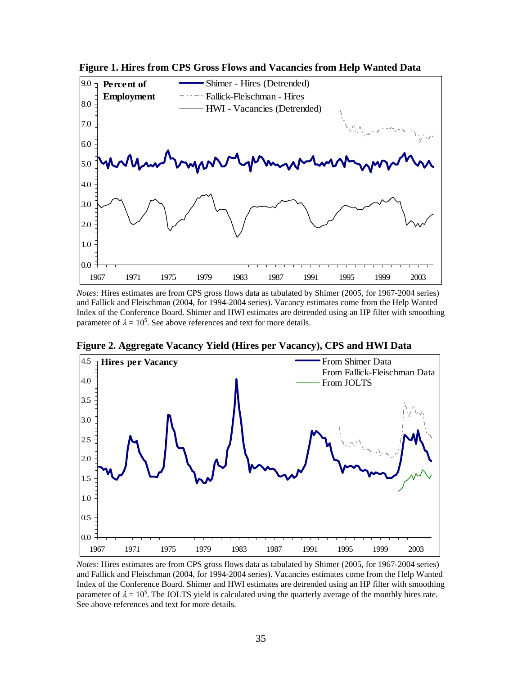

 **Figure 1. Hires from CPS Gross Flows and Vacancies from Help Wanted Data** 

*Notes:* Hires estimates are from CPS gross flows data as tabulated by Shimer (2005, for 1967-2004 series) and Fallick and Fleischman (2004, for 1994-2004 series). Vacancy estimates come from the Help Wanted Index of the Conference Board. Shimer and HWI estimates are detrended using an HP filter with smoothing parameter of  $\lambda = 10^5$ . See above references and text for more details.



**Figure 2. Aggregate Vacancy Yield (Hires per Vacancy), CPS and HWI Data** 

*Notes:* Hires estimates are from CPS gross flows data as tabulated by Shimer (2005, for 1967-2004 series) and Fallick and Fleischman (2004, for 1994-2004 series). Vacancies estimates come from the Help Wanted Index of the Conference Board. Shimer and HWI estimates are detrended using an HP filter with smoothing parameter of  $\lambda = 10^5$ . The JOLTS yield is calculated using the quarterly average of the monthly hires rate. See above references and text for more details.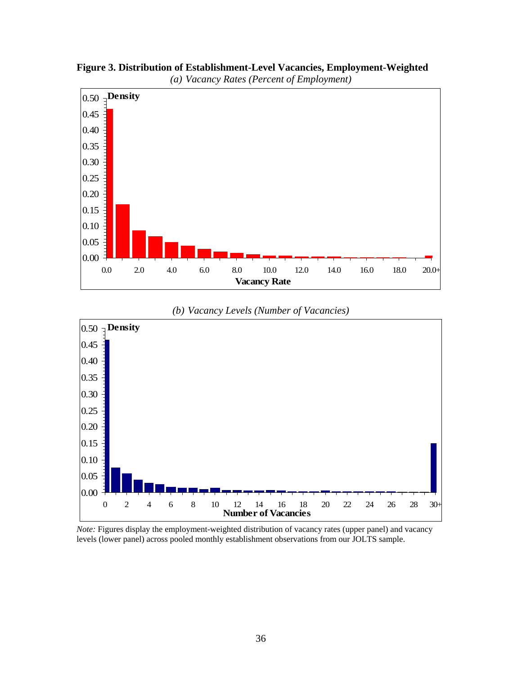

**Figure 3. Distribution of Establishment-Level Vacancies, Employment-Weighted** 





*Note:* Figures display the employment-weighted distribution of vacancy rates (upper panel) and vacancy levels (lower panel) across pooled monthly establishment observations from our JOLTS sample.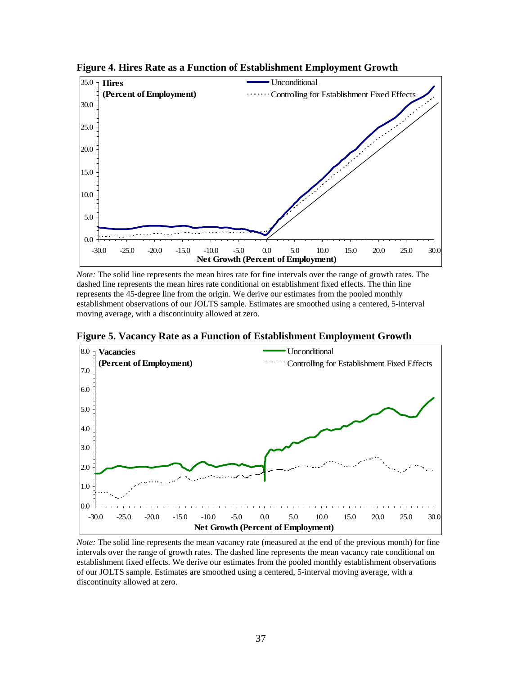

**Figure 4. Hires Rate as a Function of Establishment Employment Growth** 

*Note:* The solid line represents the mean hires rate for fine intervals over the range of growth rates. The dashed line represents the mean hires rate conditional on establishment fixed effects. The thin line represents the 45-degree line from the origin. We derive our estimates from the pooled monthly establishment observations of our JOLTS sample. Estimates are smoothed using a centered, 5-interval moving average, with a discontinuity allowed at zero.

**Figure 5. Vacancy Rate as a Function of Establishment Employment Growth** 



*Note:* The solid line represents the mean vacancy rate (measured at the end of the previous month) for fine intervals over the range of growth rates. The dashed line represents the mean vacancy rate conditional on establishment fixed effects. We derive our estimates from the pooled monthly establishment observations of our JOLTS sample. Estimates are smoothed using a centered, 5-interval moving average, with a discontinuity allowed at zero.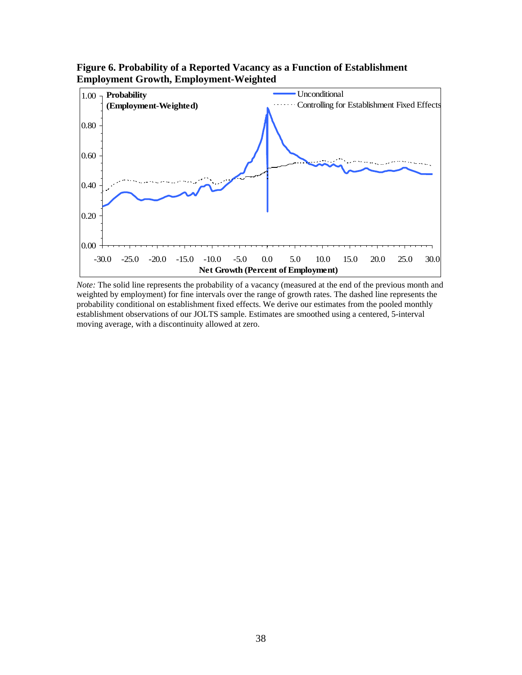

**Figure 6. Probability of a Reported Vacancy as a Function of Establishment Employment Growth, Employment-Weighted** 

*Note:* The solid line represents the probability of a vacancy (measured at the end of the previous month and weighted by employment) for fine intervals over the range of growth rates. The dashed line represents the probability conditional on establishment fixed effects. We derive our estimates from the pooled monthly establishment observations of our JOLTS sample. Estimates are smoothed using a centered, 5-interval moving average, with a discontinuity allowed at zero.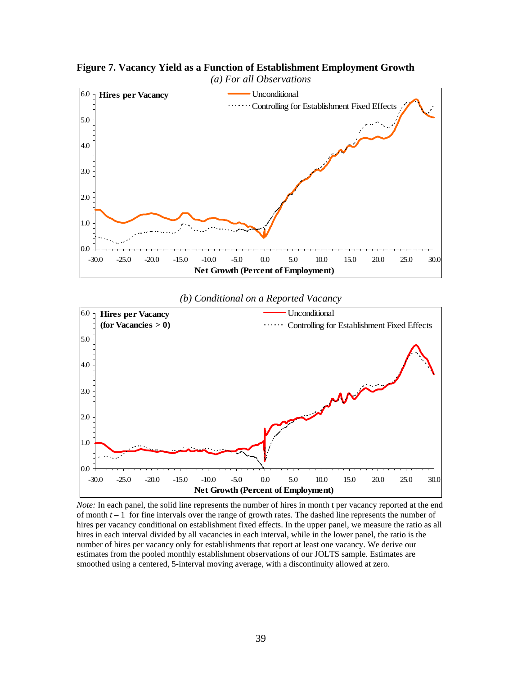

**Figure 7. Vacancy Yield as a Function of Establishment Employment Growth**

#### *(b) Conditional on a Reported Vacancy*



 *Note:* In each panel, the solid line represents the number of hires in month t per vacancy reported at the end of month  $t-1$  for fine intervals over the range of growth rates. The dashed line represents the number of hires per vacancy conditional on establishment fixed effects. In the upper panel, we measure the ratio as all hires in each interval divided by all vacancies in each interval, while in the lower panel, the ratio is the number of hires per vacancy only for establishments that report at least one vacancy. We derive our estimates from the pooled monthly establishment observations of our JOLTS sample. Estimates are smoothed using a centered, 5-interval moving average, with a discontinuity allowed at zero.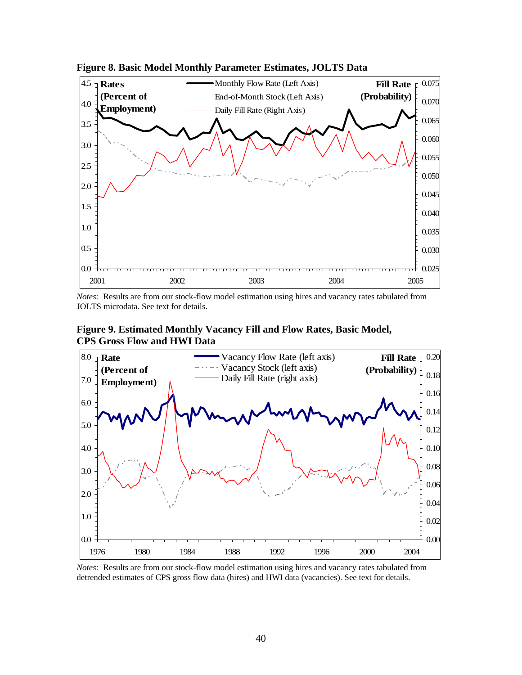

**Figure 8. Basic Model Monthly Parameter Estimates, JOLTS Data** 

JOLTS microdata. See text for details.

**Figure 9. Estimated Monthly Vacancy Fill and Flow Rates, Basic Model, CPS Gross Flow and HWI Data** 



*Notes:* Results are from our stock-flow model estimation using hires and vacancy rates tabulated from detrended estimates of CPS gross flow data (hires) and HWI data (vacancies). See text for details.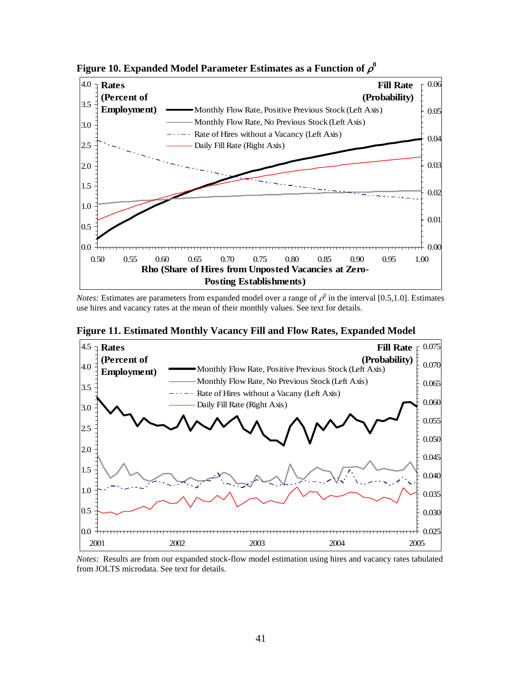

Figure 10. Expanded Model Parameter Estimates as a Function of  $\rho^0$ 

*Notes:* Estimates are parameters from expanded model over a range of  $\rho^0$  in the interval [0.5,1.0]. Estimates use hires and vacancy rates at the mean of their monthly values. See text for details.



**Figure 11. Estimated Monthly Vacancy Fill and Flow Rates, Expanded Model** 

*Notes:* Results are from our expanded stock-flow model estimation using hires and vacancy rates tabulated from JOLTS microdata. See text for details.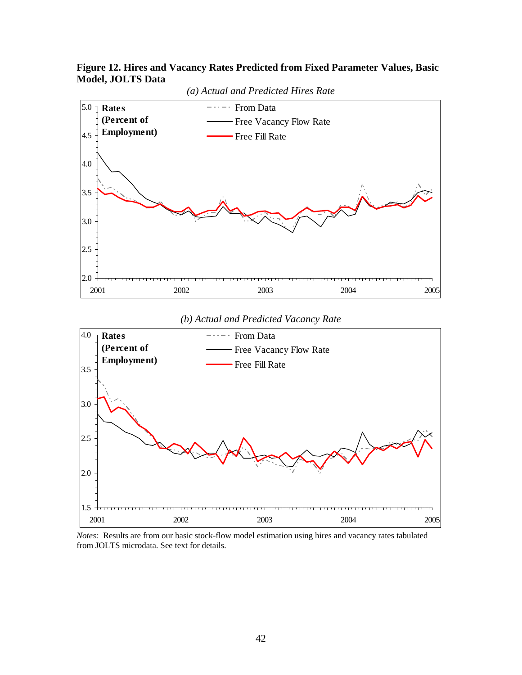



*(b) Actual and Predicted Vacancy Rate*



*Notes:* Results are from our basic stock-flow model estimation using hires and vacancy rates tabulated from JOLTS microdata. See text for details.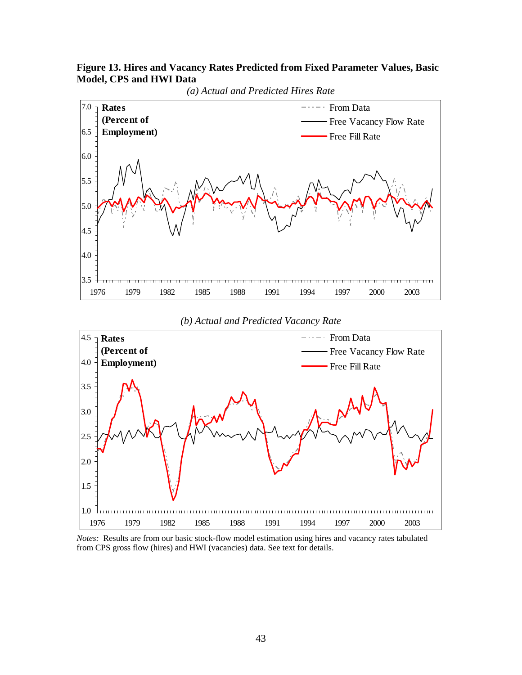**Figure 13. Hires and Vacancy Rates Predicted from Fixed Parameter Values, Basic Model, CPS and HWI Data** 



#### *(b) Actual and Predicted Vacancy Rate*



*Notes:* Results are from our basic stock-flow model estimation using hires and vacancy rates tabulated from CPS gross flow (hires) and HWI (vacancies) data. See text for details.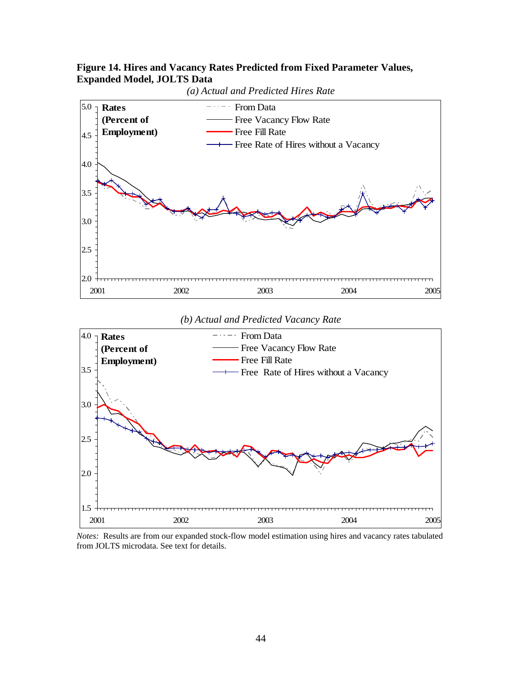### **Figure 14. Hires and Vacancy Rates Predicted from Fixed Parameter Values, Expanded Model, JOLTS Data**



*(b) Actual and Predicted Vacancy Rate*



*Notes:* Results are from our expanded stock-flow model estimation using hires and vacancy rates tabulated from JOLTS microdata. See text for details.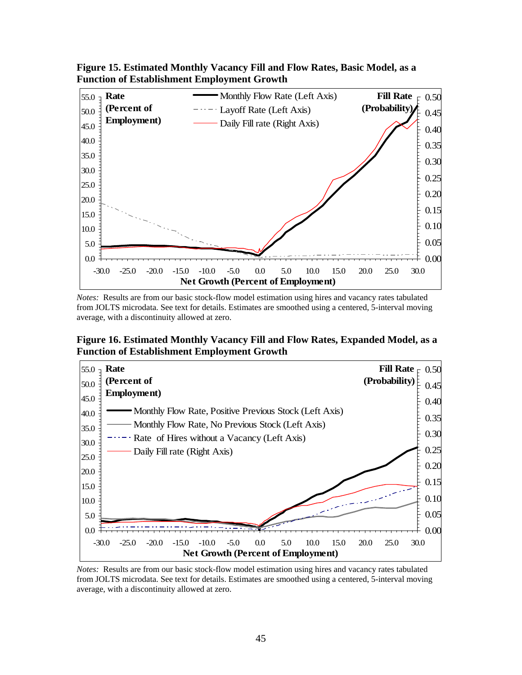

**Figure 15. Estimated Monthly Vacancy Fill and Flow Rates, Basic Model, as a Function of Establishment Employment Growth** 

*Notes:* Results are from our basic stock-flow model estimation using hires and vacancy rates tabulated from JOLTS microdata. See text for details. Estimates are smoothed using a centered, 5-interval moving average, with a discontinuity allowed at zero.

**Figure 16. Estimated Monthly Vacancy Fill and Flow Rates, Expanded Model, as a Function of Establishment Employment Growth** 



*Notes:* Results are from our basic stock-flow model estimation using hires and vacancy rates tabulated from JOLTS microdata. See text for details. Estimates are smoothed using a centered, 5-interval moving average, with a discontinuity allowed at zero.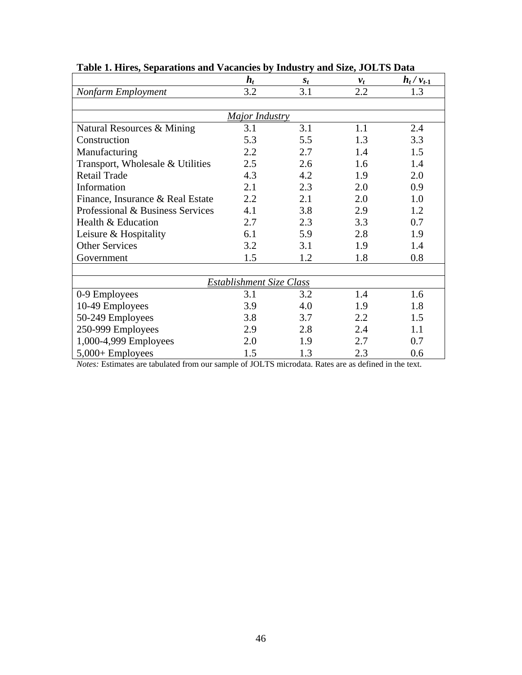|                                  | $h_t$ | $S_t$ | $v_t$ | $h_t / v_{t-1}$ |  |  |
|----------------------------------|-------|-------|-------|-----------------|--|--|
| Nonfarm Employment               | 3.2   | 3.1   | 2.2   | 1.3             |  |  |
|                                  |       |       |       |                 |  |  |
| Major Industry                   |       |       |       |                 |  |  |
| Natural Resources & Mining       | 3.1   | 3.1   | 1.1   | 2.4             |  |  |
| Construction                     | 5.3   | 5.5   | 1.3   | 3.3             |  |  |
| Manufacturing                    | 2.2   | 2.7   | 1.4   | 1.5             |  |  |
| Transport, Wholesale & Utilities | 2.5   | 2.6   | 1.6   | 1.4             |  |  |
| <b>Retail Trade</b>              | 4.3   | 4.2   | 1.9   | 2.0             |  |  |
| Information                      | 2.1   | 2.3   | 2.0   | 0.9             |  |  |
| Finance, Insurance & Real Estate | 2.2   | 2.1   | 2.0   | 1.0             |  |  |
| Professional & Business Services | 4.1   | 3.8   | 2.9   | 1.2             |  |  |
| Health & Education               | 2.7   | 2.3   | 3.3   | 0.7             |  |  |
| Leisure & Hospitality            | 6.1   | 5.9   | 2.8   | 1.9             |  |  |
| <b>Other Services</b>            | 3.2   | 3.1   | 1.9   | 1.4             |  |  |
| Government                       | 1.5   | 1.2   | 1.8   | 0.8             |  |  |
|                                  |       |       |       |                 |  |  |
| Establishment Size Class         |       |       |       |                 |  |  |
| 0-9 Employees                    | 3.1   | 3.2   | 1.4   | 1.6             |  |  |
| 10-49 Employees                  | 3.9   | 4.0   | 1.9   | 1.8             |  |  |
| 50-249 Employees                 | 3.8   | 3.7   | 2.2   | 1.5             |  |  |
| 250-999 Employees                | 2.9   | 2.8   | 2.4   | 1.1             |  |  |
| 1,000-4,999 Employees            | 2.0   | 1.9   | 2.7   | 0.7             |  |  |
| $5,000+$ Employees               | 1.5   | 1.3   | 2.3   | 0.6             |  |  |

## **Table 1. Hires, Separations and Vacancies by Industry and Size, JOLTS Data**

*Notes:* Estimates are tabulated from our sample of JOLTS microdata. Rates are as defined in the text.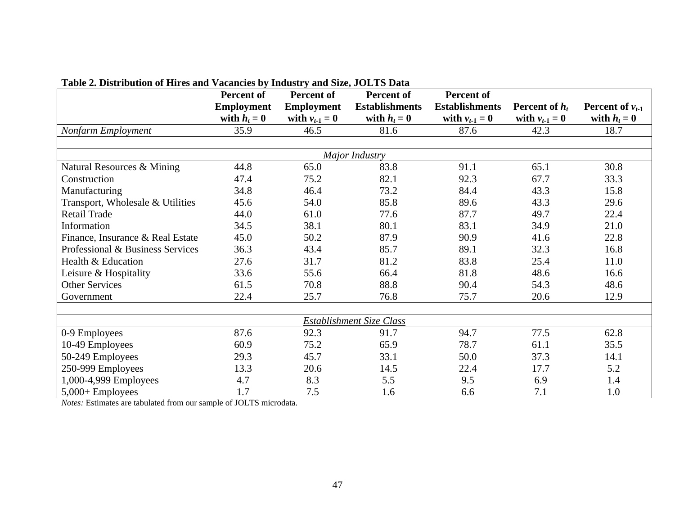|                                  | Table 2. Distribution of three and vacancies by muustry and size, JOLTS Data<br>Percent of<br><b>Percent of</b><br>Percent of<br>Percent of |                   |                       |                       |                  |                      |  |
|----------------------------------|---------------------------------------------------------------------------------------------------------------------------------------------|-------------------|-----------------------|-----------------------|------------------|----------------------|--|
|                                  | <b>Employment</b>                                                                                                                           | <b>Employment</b> | <b>Establishments</b> | <b>Establishments</b> | Percent of $h_t$ | Percent of $v_{t-1}$ |  |
|                                  | with $h_t = 0$                                                                                                                              | with $v_{t-1}=0$  | with $h_t = 0$        | with $v_{t-1} = 0$    | with $v_{t-1}=0$ | with $h_t = 0$       |  |
| Nonfarm Employment               | 35.9                                                                                                                                        | 46.5              | 81.6                  | 87.6                  | 42.3             | 18.7                 |  |
|                                  |                                                                                                                                             |                   |                       |                       |                  |                      |  |
| Major Industry                   |                                                                                                                                             |                   |                       |                       |                  |                      |  |
| Natural Resources & Mining       | 44.8                                                                                                                                        | 65.0              | 83.8                  | 91.1                  | 65.1             | 30.8                 |  |
| Construction                     | 47.4                                                                                                                                        | 75.2              | 82.1                  | 92.3                  | 67.7             | 33.3                 |  |
| Manufacturing                    | 34.8                                                                                                                                        | 46.4              | 73.2                  | 84.4                  | 43.3             | 15.8                 |  |
| Transport, Wholesale & Utilities | 45.6                                                                                                                                        | 54.0              | 85.8                  | 89.6                  | 43.3             | 29.6                 |  |
| Retail Trade                     | 44.0                                                                                                                                        | 61.0              | 77.6                  | 87.7                  | 49.7             | 22.4                 |  |
| Information                      | 34.5                                                                                                                                        | 38.1              | 80.1                  | 83.1                  | 34.9             | 21.0                 |  |
| Finance, Insurance & Real Estate | 45.0                                                                                                                                        | 50.2              | 87.9                  | 90.9                  | 41.6             | 22.8                 |  |
| Professional & Business Services | 36.3                                                                                                                                        | 43.4              | 85.7                  | 89.1                  | 32.3             | 16.8                 |  |
| Health & Education               | 27.6                                                                                                                                        | 31.7              | 81.2                  | 83.8                  | 25.4             | 11.0                 |  |
| Leisure & Hospitality            | 33.6                                                                                                                                        | 55.6              | 66.4                  | 81.8                  | 48.6             | 16.6                 |  |
| <b>Other Services</b>            | 61.5                                                                                                                                        | 70.8              | 88.8                  | 90.4                  | 54.3             | 48.6                 |  |
| Government                       | 22.4                                                                                                                                        | 25.7              | 76.8                  | 75.7                  | 20.6             | 12.9                 |  |
|                                  |                                                                                                                                             |                   |                       |                       |                  |                      |  |
| Establishment Size Class         |                                                                                                                                             |                   |                       |                       |                  |                      |  |
| 0-9 Employees                    | 87.6                                                                                                                                        | 92.3              | 91.7                  | 94.7                  | 77.5             | 62.8                 |  |
| 10-49 Employees                  | 60.9                                                                                                                                        | 75.2              | 65.9                  | 78.7                  | 61.1             | 35.5                 |  |
| 50-249 Employees                 | 29.3                                                                                                                                        | 45.7              | 33.1                  | 50.0                  | 37.3             | 14.1                 |  |
| 250-999 Employees                | 13.3                                                                                                                                        | 20.6              | 14.5                  | 22.4                  | 17.7             | 5.2                  |  |
| 1,000-4,999 Employees            | 4.7                                                                                                                                         | 8.3               | 5.5                   | 9.5                   | 6.9              | 1.4                  |  |
| $5,000+$ Employees               | 1.7                                                                                                                                         | 7.5               | 1.6                   | 6.6                   | 7.1              | 1.0                  |  |

### **Table 2. Distribution of Hires and Vacancies by Industry and Size, JOLTS Data**

*Notes:* Estimates are tabulated from our sample of JOLTS microdata.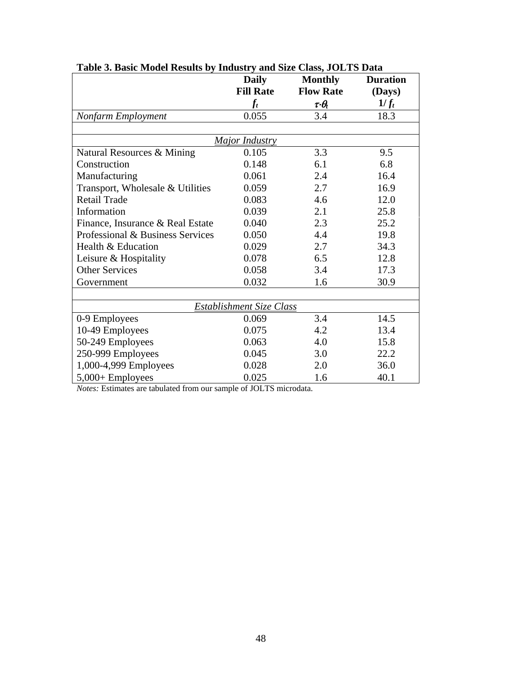|                                  | <b>Daily</b>     | <b>Monthly</b>            | <b>Duration</b> |  |  |  |  |
|----------------------------------|------------------|---------------------------|-----------------|--|--|--|--|
|                                  | <b>Fill Rate</b> | <b>Flow Rate</b>          | (Days)          |  |  |  |  |
|                                  | $f_t$            | $\tau{\cdot}\theta_{\!t}$ | $1/f_t$         |  |  |  |  |
| Nonfarm Employment               | 0.055            | 3.4                       | 18.3            |  |  |  |  |
|                                  |                  |                           |                 |  |  |  |  |
| <b>Major Industry</b>            |                  |                           |                 |  |  |  |  |
| Natural Resources & Mining       | 0.105            | 3.3                       | 9.5             |  |  |  |  |
| Construction                     | 0.148            | 6.1                       | 6.8             |  |  |  |  |
| Manufacturing                    | 0.061            | 2.4                       | 16.4            |  |  |  |  |
| Transport, Wholesale & Utilities | 0.059            | 2.7                       | 16.9            |  |  |  |  |
| <b>Retail Trade</b>              | 0.083            | 4.6                       | 12.0            |  |  |  |  |
| Information                      | 0.039            | 2.1                       | 25.8            |  |  |  |  |
| Finance, Insurance & Real Estate | 0.040            | 2.3                       | 25.2            |  |  |  |  |
| Professional & Business Services | 0.050            | 4.4                       | 19.8            |  |  |  |  |
| Health & Education               | 0.029            | 2.7                       | 34.3            |  |  |  |  |
| Leisure & Hospitality            | 0.078            | 6.5                       | 12.8            |  |  |  |  |
| <b>Other Services</b>            | 0.058            | 3.4                       | 17.3            |  |  |  |  |
| Government                       | 0.032            | 1.6                       | 30.9            |  |  |  |  |
|                                  |                  |                           |                 |  |  |  |  |
| Establishment Size Class         |                  |                           |                 |  |  |  |  |
| 0-9 Employees                    | 0.069            | 3.4                       | 14.5            |  |  |  |  |
| 10-49 Employees                  | 0.075            | 4.2                       | 13.4            |  |  |  |  |
| 50-249 Employees                 | 0.063            | 4.0                       | 15.8            |  |  |  |  |
| 250-999 Employees                | 0.045            | 3.0                       | 22.2            |  |  |  |  |
| 1,000-4,999 Employees            | 0.028            | 2.0                       | 36.0            |  |  |  |  |
| $5,000+$ Employees               | 0.025            | 1.6                       | 40.1            |  |  |  |  |

**Table 3. Basic Model Results by Industry and Size Class, JOLTS Data** 

*Notes:* Estimates are tabulated from our sample of JOLTS microdata.